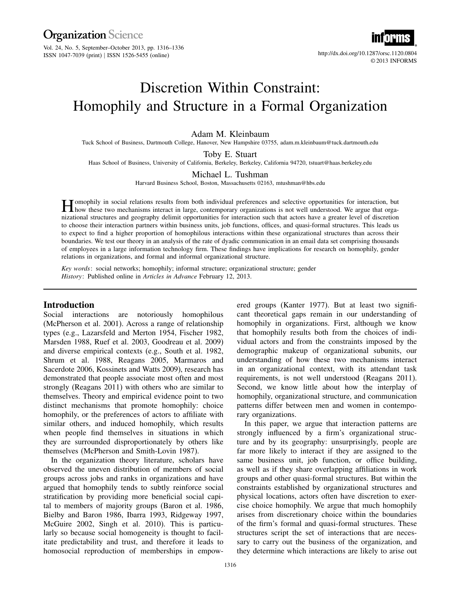**Vol. 24, No. 5, September–October 2013, pp. 1316–1336** ISSN 1047-7039 (print) | ISSN 1526-5455 (online) http://dx.doi.org/10.1287/orsc.1120.0804

© 2013 INFORMS

# Discretion Within Constraint: Homophily and Structure in a Formal Organization

## Adam M. Kleinbaum

Tuck School of Business, Dartmouth College, Hanover, New Hampshire 03755, adam.m.kleinbaum@tuck.dartmouth.edu

Toby E. Stuart

Haas School of Business, University of California, Berkeley, Berkeley, California 94720, tstuart@haas.berkeley.edu

Michael L. Tushman

Harvard Business School, Boston, Massachusetts 02163, mtushman@hbs.edu

**H** omophily in social relations results from both individual preferences and selective opportunities for interaction, but how these two mechanisms interact in large, contemporary organizations is not well understood. We a how these two mechanisms interact in large, contemporary organizations is not well understood. We argue that organizational structures and geography delimit opportunities for interaction such that actors have a greater level of discretion to choose their interaction partners within business units, job functions, offices, and quasi-formal structures. This leads us to expect to find a higher proportion of homophilous interactions within these organizational structures than across their boundaries. We test our theory in an analysis of the rate of dyadic communication in an email data set comprising thousands of employees in a large information technology firm. These findings have implications for research on homophily, gender relations in organizations, and formal and informal organizational structure.

Key words: social networks; homophily; informal structure; organizational structure; gender History: Published online in Articles in Advance February 12, 2013.

# Introduction

Social interactions are notoriously homophilous (McPherson et al. 2001). Across a range of relationship types (e.g., Lazarsfeld and Merton 1954, Fischer 1982, Marsden 1988, Ruef et al. 2003, Goodreau et al. 2009) and diverse empirical contexts (e.g., South et al. 1982, Shrum et al. 1988, Reagans 2005, Marmaros and Sacerdote 2006, Kossinets and Watts 2009), research has demonstrated that people associate most often and most strongly (Reagans 2011) with others who are similar to themselves. Theory and empirical evidence point to two distinct mechanisms that promote homophily: choice homophily, or the preferences of actors to affiliate with similar others, and induced homophily, which results when people find themselves in situations in which they are surrounded disproportionately by others like themselves (McPherson and Smith-Lovin 1987).

In the organization theory literature, scholars have observed the uneven distribution of members of social groups across jobs and ranks in organizations and have argued that homophily tends to subtly reinforce social stratification by providing more beneficial social capital to members of majority groups (Baron et al. 1986, Bielby and Baron 1986, Ibarra 1993, Ridgeway 1997, McGuire 2002, Singh et al. 2010). This is particularly so because social homogeneity is thought to facilitate predictability and trust, and therefore it leads to homosocial reproduction of memberships in empowered groups (Kanter 1977). But at least two significant theoretical gaps remain in our understanding of homophily in organizations. First, although we know that homophily results both from the choices of individual actors and from the constraints imposed by the demographic makeup of organizational subunits, our understanding of how these two mechanisms interact in an organizational context, with its attendant task requirements, is not well understood (Reagans 2011). Second, we know little about how the interplay of homophily, organizational structure, and communication patterns differ between men and women in contemporary organizations.

In this paper, we argue that interaction patterns are strongly influenced by a firm's organizational structure and by its geography: unsurprisingly, people are far more likely to interact if they are assigned to the same business unit, job function, or office building, as well as if they share overlapping affiliations in work groups and other quasi-formal structures. But within the constraints established by organizational structures and physical locations, actors often have discretion to exercise choice homophily. We argue that much homophily arises from discretionary choice within the boundaries of the firm's formal and quasi-formal structures. These structures script the set of interactions that are necessary to carry out the business of the organization, and they determine which interactions are likely to arise out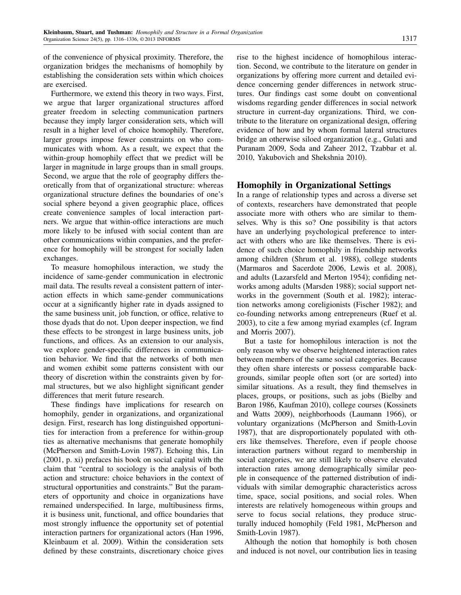of the convenience of physical proximity. Therefore, the organization bridges the mechanisms of homophily by establishing the consideration sets within which choices are exercised.

Furthermore, we extend this theory in two ways. First, we argue that larger organizational structures afford greater freedom in selecting communication partners because they imply larger consideration sets, which will result in a higher level of choice homophily. Therefore, larger groups impose fewer constraints on who communicates with whom. As a result, we expect that the within-group homophily effect that we predict will be larger in magnitude in large groups than in small groups. Second, we argue that the role of geography differs theoretically from that of organizational structure: whereas organizational structure defines the boundaries of one's social sphere beyond a given geographic place, offices create convenience samples of local interaction partners. We argue that within-office interactions are much more likely to be infused with social content than are other communications within companies, and the preference for homophily will be strongest for socially laden exchanges.

To measure homophilous interaction, we study the incidence of same-gender communication in electronic mail data. The results reveal a consistent pattern of interaction effects in which same-gender communications occur at a significantly higher rate in dyads assigned to the same business unit, job function, or office, relative to those dyads that do not. Upon deeper inspection, we find these effects to be strongest in large business units, job functions, and offices. As an extension to our analysis, we explore gender-specific differences in communication behavior. We find that the networks of both men and women exhibit some patterns consistent with our theory of discretion within the constraints given by formal structures, but we also highlight significant gender differences that merit future research.

These findings have implications for research on homophily, gender in organizations, and organizational design. First, research has long distinguished opportunities for interaction from a preference for within-group ties as alternative mechanisms that generate homophily (McPherson and Smith-Lovin 1987). Echoing this, Lin (2001, p. xi) prefaces his book on social capital with the claim that "central to sociology is the analysis of both action and structure: choice behaviors in the context of structural opportunities and constraints." But the parameters of opportunity and choice in organizations have remained underspecified. In large, multibusiness firms, it is business unit, functional, and office boundaries that most strongly influence the opportunity set of potential interaction partners for organizational actors (Han 1996, Kleinbaum et al. 2009). Within the consideration sets defined by these constraints, discretionary choice gives rise to the highest incidence of homophilous interaction. Second, we contribute to the literature on gender in organizations by offering more current and detailed evidence concerning gender differences in network structures. Our findings cast some doubt on conventional wisdoms regarding gender differences in social network structure in current-day organizations. Third, we contribute to the literature on organizational design, offering evidence of how and by whom formal lateral structures bridge an otherwise siloed organization (e.g., Gulati and Puranam 2009, Soda and Zaheer 2012, Tzabbar et al. 2010, Yakubovich and Shekshnia 2010).

# Homophily in Organizational Settings

In a range of relationship types and across a diverse set of contexts, researchers have demonstrated that people associate more with others who are similar to themselves. Why is this so? One possibility is that actors have an underlying psychological preference to interact with others who are like themselves. There is evidence of such choice homophily in friendship networks among children (Shrum et al. 1988), college students (Marmaros and Sacerdote 2006, Lewis et al. 2008), and adults (Lazarsfeld and Merton 1954); confiding networks among adults (Marsden 1988); social support networks in the government (South et al. 1982); interaction networks among coreligionists (Fischer 1982); and co-founding networks among entrepreneurs (Ruef et al. 2003), to cite a few among myriad examples (cf. Ingram and Morris 2007).

But a taste for homophilous interaction is not the only reason why we observe heightened interaction rates between members of the same social categories. Because they often share interests or possess comparable backgrounds, similar people often sort (or are sorted) into similar situations. As a result, they find themselves in places, groups, or positions, such as jobs (Bielby and Baron 1986, Kaufman 2010), college courses (Kossinets and Watts 2009), neighborhoods (Laumann 1966), or voluntary organizations (McPherson and Smith-Lovin 1987), that are disproportionately populated with others like themselves. Therefore, even if people choose interaction partners without regard to membership in social categories, we are still likely to observe elevated interaction rates among demographically similar people in consequence of the patterned distribution of individuals with similar demographic characteristics across time, space, social positions, and social roles. When interests are relatively homogeneous within groups and serve to focus social relations, they produce structurally induced homophily (Feld 1981, McPherson and Smith-Lovin 1987).

Although the notion that homophily is both chosen and induced is not novel, our contribution lies in teasing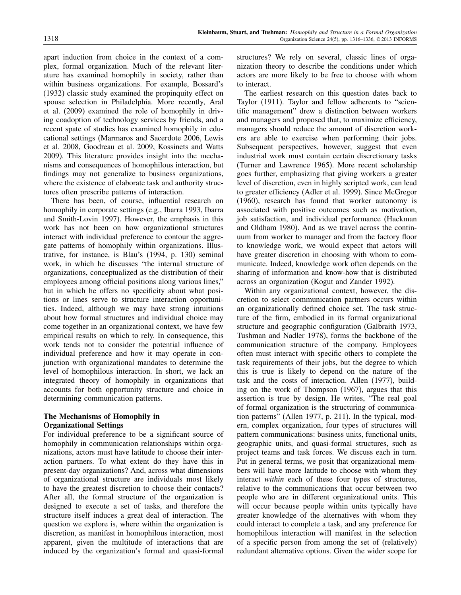apart induction from choice in the context of a complex, formal organization. Much of the relevant literature has examined homophily in society, rather than within business organizations. For example, Bossard's (1932) classic study examined the propinquity effect on spouse selection in Philadelphia. More recently, Aral et al. (2009) examined the role of homophily in driving coadoption of technology services by friends, and a recent spate of studies has examined homophily in educational settings (Marmaros and Sacerdote 2006, Lewis et al. 2008, Goodreau et al. 2009, Kossinets and Watts 2009). This literature provides insight into the mechanisms and consequences of homophilous interaction, but findings may not generalize to business organizations, where the existence of elaborate task and authority structures often prescribe patterns of interaction.

There has been, of course, influential research on homophily in corporate settings (e.g., Ibarra 1993, Ibarra and Smith-Lovin 1997). However, the emphasis in this work has not been on how organizational structures interact with individual preference to contour the aggregate patterns of homophily within organizations. Illustrative, for instance, is Blau's (1994, p. 130) seminal work, in which he discusses "the internal structure of organizations, conceptualized as the distribution of their employees among official positions along various lines," but in which he offers no specificity about what positions or lines serve to structure interaction opportunities. Indeed, although we may have strong intuitions about how formal structures and individual choice may come together in an organizational context, we have few empirical results on which to rely. In consequence, this work tends not to consider the potential influence of individual preference and how it may operate in conjunction with organizational mandates to determine the level of homophilous interaction. In short, we lack an integrated theory of homophily in organizations that accounts for both opportunity structure and choice in determining communication patterns.

## The Mechanisms of Homophily in Organizational Settings

For individual preference to be a significant source of homophily in communication relationships within organizations, actors must have latitude to choose their interaction partners. To what extent do they have this in present-day organizations? And, across what dimensions of organizational structure are individuals most likely to have the greatest discretion to choose their contacts? After all, the formal structure of the organization is designed to execute a set of tasks, and therefore the structure itself induces a great deal of interaction. The question we explore is, where within the organization is discretion, as manifest in homophilous interaction, most apparent, given the multitude of interactions that are induced by the organization's formal and quasi-formal structures? We rely on several, classic lines of organization theory to describe the conditions under which actors are more likely to be free to choose with whom to interact.

The earliest research on this question dates back to Taylor (1911). Taylor and fellow adherents to "scientific management" drew a distinction between workers and managers and proposed that, to maximize efficiency, managers should reduce the amount of discretion workers are able to exercise when performing their jobs. Subsequent perspectives, however, suggest that even industrial work must contain certain discretionary tasks (Turner and Lawrence 1965). More recent scholarship goes further, emphasizing that giving workers a greater level of discretion, even in highly scripted work, can lead to greater efficiency (Adler et al. 1999). Since McGregor (1960), research has found that worker autonomy is associated with positive outcomes such as motivation, job satisfaction, and individual performance (Hackman and Oldham 1980). And as we travel across the continuum from worker to manager and from the factory floor to knowledge work, we would expect that actors will have greater discretion in choosing with whom to communicate. Indeed, knowledge work often depends on the sharing of information and know-how that is distributed across an organization (Kogut and Zander 1992).

Within any organizational context, however, the discretion to select communication partners occurs within an organizationally defined choice set. The task structure of the firm, embodied in its formal organizational structure and geographic configuration (Galbraith 1973, Tushman and Nadler 1978), forms the backbone of the communication structure of the company. Employees often must interact with specific others to complete the task requirements of their jobs, but the degree to which this is true is likely to depend on the nature of the task and the costs of interaction. Allen (1977), building on the work of Thompson (1967), argues that this assertion is true by design. He writes, "The real goal of formal organization is the structuring of communication patterns" (Allen 1977, p. 211). In the typical, modern, complex organization, four types of structures will pattern communications: business units, functional units, geographic units, and quasi-formal structures, such as project teams and task forces. We discuss each in turn. Put in general terms, we posit that organizational members will have more latitude to choose with whom they interact within each of these four types of structures, relative to the communications that occur between two people who are in different organizational units. This will occur because people within units typically have greater knowledge of the alternatives with whom they could interact to complete a task, and any preference for homophilous interaction will manifest in the selection of a specific person from among the set of (relatively) redundant alternative options. Given the wider scope for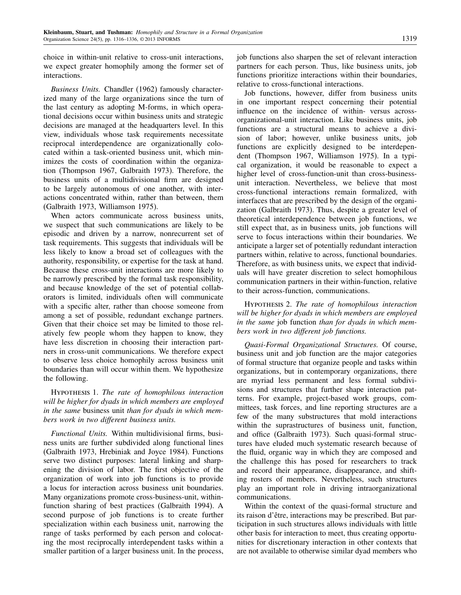choice in within-unit relative to cross-unit interactions, we expect greater homophily among the former set of interactions.

Business Units. Chandler (1962) famously characterized many of the large organizations since the turn of the last century as adopting M-forms, in which operational decisions occur within business units and strategic decisions are managed at the headquarters level. In this view, individuals whose task requirements necessitate reciprocal interdependence are organizationally colocated within a task-oriented business unit, which minimizes the costs of coordination within the organization (Thompson 1967, Galbraith 1973). Therefore, the business units of a multidivisional firm are designed to be largely autonomous of one another, with interactions concentrated within, rather than between, them (Galbraith 1973, Williamson 1975).

When actors communicate across business units, we suspect that such communications are likely to be episodic and driven by a narrow, nonrecurrent set of task requirements. This suggests that individuals will be less likely to know a broad set of colleagues with the authority, responsibility, or expertise for the task at hand. Because these cross-unit interactions are more likely to be narrowly prescribed by the formal task responsibility, and because knowledge of the set of potential collaborators is limited, individuals often will communicate with a specific alter, rather than choose someone from among a set of possible, redundant exchange partners. Given that their choice set may be limited to those relatively few people whom they happen to know, they have less discretion in choosing their interaction partners in cross-unit communications. We therefore expect to observe less choice homophily across business unit boundaries than will occur within them. We hypothesize the following.

## Hypothesis 1. The rate of homophilous interaction will be higher for dyads in which members are employed in the same business unit than for dyads in which members work in two different business units.

Functional Units. Within multidivisional firms, business units are further subdivided along functional lines (Galbraith 1973, Hrebiniak and Joyce 1984). Functions serve two distinct purposes: lateral linking and sharpening the division of labor. The first objective of the organization of work into job functions is to provide a locus for interaction across business unit boundaries. Many organizations promote cross-business-unit, withinfunction sharing of best practices (Galbraith 1994). A second purpose of job functions is to create further specialization within each business unit, narrowing the range of tasks performed by each person and colocating the most reciprocally interdependent tasks within a smaller partition of a larger business unit. In the process, job functions also sharpen the set of relevant interaction partners for each person. Thus, like business units, job functions prioritize interactions within their boundaries, relative to cross-functional interactions.

Job functions, however, differ from business units in one important respect concerning their potential influence on the incidence of within- versus acrossorganizational-unit interaction. Like business units, job functions are a structural means to achieve a division of labor; however, unlike business units, job functions are explicitly designed to be interdependent (Thompson 1967, Williamson 1975). In a typical organization, it would be reasonable to expect a higher level of cross-function-unit than cross-businessunit interaction. Nevertheless, we believe that most cross-functional interactions remain formalized, with interfaces that are prescribed by the design of the organization (Galbraith 1973). Thus, despite a greater level of theoretical interdependence between job functions, we still expect that, as in business units, job functions will serve to focus interactions within their boundaries. We anticipate a larger set of potentially redundant interaction partners within, relative to across, functional boundaries. Therefore, as with business units, we expect that individuals will have greater discretion to select homophilous communication partners in their within-function, relative to their across-function, communications.

Hypothesis 2. The rate of homophilous interaction will be higher for dyads in which members are employed in the same job function than for dyads in which members work in two different job functions.

Quasi-Formal Organizational Structures. Of course, business unit and job function are the major categories of formal structure that organize people and tasks within organizations, but in contemporary organizations, there are myriad less permanent and less formal subdivisions and structures that further shape interaction patterns. For example, project-based work groups, committees, task forces, and line reporting structures are a few of the many substructures that mold interactions within the suprastructures of business unit, function, and office (Galbraith 1973). Such quasi-formal structures have eluded much systematic research because of the fluid, organic way in which they are composed and the challenge this has posed for researchers to track and record their appearance, disappearance, and shifting rosters of members. Nevertheless, such structures play an important role in driving intraorganizational communications.

Within the context of the quasi-formal structure and its raison d'être, interactions may be prescribed. But participation in such structures allows individuals with little other basis for interaction to meet, thus creating opportunities for discretionary interaction in other contexts that are not available to otherwise similar dyad members who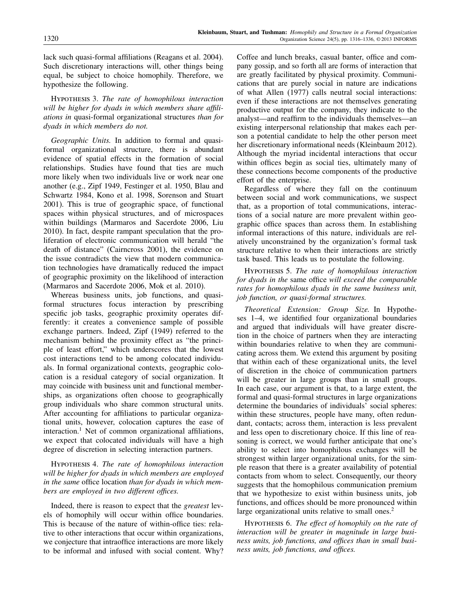lack such quasi-formal affiliations (Reagans et al. 2004). Such discretionary interactions will, other things being equal, be subject to choice homophily. Therefore, we hypothesize the following.

Hypothesis 3. The rate of homophilous interaction will be higher for dyads in which members share affiliations in quasi-formal organizational structures than for dyads in which members do not.

Geographic Units. In addition to formal and quasiformal organizational structure, there is abundant evidence of spatial effects in the formation of social relationships. Studies have found that ties are much more likely when two individuals live or work near one another (e.g., Zipf 1949, Festinger et al. 1950, Blau and Schwartz 1984, Kono et al. 1998, Sorenson and Stuart 2001). This is true of geographic space, of functional spaces within physical structures, and of microspaces within buildings (Marmaros and Sacerdote 2006, Liu 2010). In fact, despite rampant speculation that the proliferation of electronic communication will herald "the death of distance" (Cairncross 2001), the evidence on the issue contradicts the view that modern communication technologies have dramatically reduced the impact of geographic proximity on the likelihood of interaction (Marmaros and Sacerdote 2006, Mok et al. 2010).

Whereas business units, job functions, and quasiformal structures focus interaction by prescribing specific job tasks, geographic proximity operates differently: it creates a convenience sample of possible exchange partners. Indeed, Zipf (1949) referred to the mechanism behind the proximity effect as "the principle of least effort," which underscores that the lowest cost interactions tend to be among colocated individuals. In formal organizational contexts, geographic colocation is a residual category of social organization. It may coincide with business unit and functional memberships, as organizations often choose to geographically group individuals who share common structural units. After accounting for affiliations to particular organizational units, however, colocation captures the ease of interaction.<sup>1</sup> Net of common organizational affiliations, we expect that colocated individuals will have a high degree of discretion in selecting interaction partners.

Hypothesis 4. The rate of homophilous interaction will be higher for dyads in which members are employed in the same office location than for dyads in which members are employed in two different offices.

Indeed, there is reason to expect that the greatest levels of homophily will occur within office boundaries. This is because of the nature of within-office ties: relative to other interactions that occur within organizations, we conjecture that intraoffice interactions are more likely to be informal and infused with social content. Why? Coffee and lunch breaks, casual banter, office and company gossip, and so forth all are forms of interaction that are greatly facilitated by physical proximity. Communications that are purely social in nature are indications of what Allen (1977) calls neutral social interactions: even if these interactions are not themselves generating productive output for the company, they indicate to the analyst—and reaffirm to the individuals themselves—an existing interpersonal relationship that makes each person a potential candidate to help the other person meet her discretionary informational needs (Kleinbaum 2012). Although the myriad incidental interactions that occur within offices begin as social ties, ultimately many of these connections become components of the productive effort of the enterprise.

Regardless of where they fall on the continuum between social and work communications, we suspect that, as a proportion of total communications, interactions of a social nature are more prevalent within geographic office spaces than across them. In establishing informal interactions of this nature, individuals are relatively unconstrained by the organization's formal task structure relative to when their interactions are strictly task based. This leads us to postulate the following.

Hypothesis 5. The rate of homophilous interaction for dyads in the same office will exceed the comparable rates for homophilous dyads in the same business unit, job function, or quasi-formal structures.

Theoretical Extension: Group Size. In Hypotheses 1–4, we identified four organizational boundaries and argued that individuals will have greater discretion in the choice of partners when they are interacting within boundaries relative to when they are communicating across them. We extend this argument by positing that within each of these organizational units, the level of discretion in the choice of communication partners will be greater in large groups than in small groups. In each case, our argument is that, to a large extent, the formal and quasi-formal structures in large organizations determine the boundaries of individuals' social spheres: within these structures, people have many, often redundant, contacts; across them, interaction is less prevalent and less open to discretionary choice. If this line of reasoning is correct, we would further anticipate that one's ability to select into homophilous exchanges will be strongest within larger organizational units, for the simple reason that there is a greater availability of potential contacts from whom to select. Consequently, our theory suggests that the homophilous communication premium that we hypothesize to exist within business units, job functions, and offices should be more pronounced within large organizational units relative to small ones.<sup>2</sup>

HYPOTHESIS 6. The effect of homophily on the rate of interaction will be greater in magnitude in large business units, job functions, and offices than in small business units, job functions, and offices.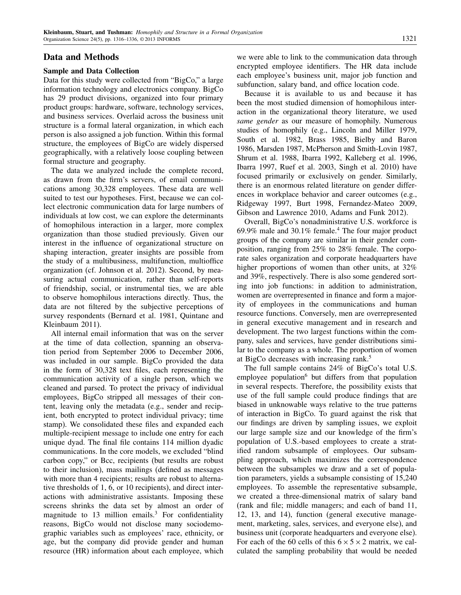## Sample and Data Collection

Data for this study were collected from "BigCo," a large information technology and electronics company. BigCo has 29 product divisions, organized into four primary product groups: hardware, software, technology services, and business services. Overlaid across the business unit structure is a formal lateral organization, in which each person is also assigned a job function. Within this formal structure, the employees of BigCo are widely dispersed geographically, with a relatively loose coupling between formal structure and geography.

The data we analyzed include the complete record, as drawn from the firm's servers, of email communications among 30,328 employees. These data are well suited to test our hypotheses. First, because we can collect electronic communication data for large numbers of individuals at low cost, we can explore the determinants of homophilous interaction in a larger, more complex organization than those studied previously. Given our interest in the influence of organizational structure on shaping interaction, greater insights are possible from the study of a multibusiness, multifunction, multioffice organization (cf. Johnson et al. 2012). Second, by measuring actual communication, rather than self-reports of friendship, social, or instrumental ties, we are able to observe homophilous interactions directly. Thus, the data are not filtered by the subjective perceptions of survey respondents (Bernard et al. 1981, Quintane and Kleinbaum 2011).

All internal email information that was on the server at the time of data collection, spanning an observation period from September 2006 to December 2006, was included in our sample. BigCo provided the data in the form of 30,328 text files, each representing the communication activity of a single person, which we cleaned and parsed. To protect the privacy of individual employees, BigCo stripped all messages of their content, leaving only the metadata (e.g., sender and recipient, both encrypted to protect individual privacy; time stamp). We consolidated these files and expanded each multiple-recipient message to include one entry for each unique dyad. The final file contains 114 million dyadic communications. In the core models, we excluded "blind carbon copy," or Bcc, recipients (but results are robust to their inclusion), mass mailings (defined as messages with more than 4 recipients; results are robust to alternative thresholds of 1, 6, or 10 recipients), and direct interactions with administrative assistants. Imposing these screens shrinks the data set by almost an order of magnitude to  $13$  million emails.<sup>3</sup> For confidentiality reasons, BigCo would not disclose many sociodemographic variables such as employees' race, ethnicity, or age, but the company did provide gender and human resource (HR) information about each employee, which we were able to link to the communication data through encrypted employee identifiers. The HR data include each employee's business unit, major job function and subfunction, salary band, and office location code.

Because it is available to us and because it has been the most studied dimension of homophilous interaction in the organizational theory literature, we used same gender as our measure of homophily. Numerous studies of homophily (e.g., Lincoln and Miller 1979, South et al. 1982, Brass 1985, Bielby and Baron 1986, Marsden 1987, McPherson and Smith-Lovin 1987, Shrum et al. 1988, Ibarra 1992, Kalleberg et al. 1996, Ibarra 1997, Ruef et al. 2003, Singh et al. 2010) have focused primarily or exclusively on gender. Similarly, there is an enormous related literature on gender differences in workplace behavior and career outcomes (e.g., Ridgeway 1997, Burt 1998, Fernandez-Mateo 2009, Gibson and Lawrence 2010, Adams and Funk 2012).

Overall, BigCo's nonadministrative U.S. workforce is 69.9% male and 30.1% female.<sup>4</sup> The four major product groups of the company are similar in their gender composition, ranging from 25% to 28% female. The corporate sales organization and corporate headquarters have higher proportions of women than other units, at 32% and 39%, respectively. There is also some gendered sorting into job functions: in addition to administration, women are overrepresented in finance and form a majority of employees in the communications and human resource functions. Conversely, men are overrepresented in general executive management and in research and development. The two largest functions within the company, sales and services, have gender distributions similar to the company as a whole. The proportion of women at BigCo decreases with increasing rank.<sup>5</sup>

The full sample contains 24% of BigCo's total U.S. employee population $6$  but differs from that population in several respects. Therefore, the possibility exists that use of the full sample could produce findings that are biased in unknowable ways relative to the true patterns of interaction in BigCo. To guard against the risk that our findings are driven by sampling issues, we exploit our large sample size and our knowledge of the firm's population of U.S.-based employees to create a stratified random subsample of employees. Our subsampling approach, which maximizes the correspondence between the subsamples we draw and a set of population parameters, yields a subsample consisting of 15,240 employees. To assemble the representative subsample, we created a three-dimensional matrix of salary band (rank and file; middle managers; and each of band 11, 12, 13, and 14), function (general executive management, marketing, sales, services, and everyone else), and business unit (corporate headquarters and everyone else). For each of the 60 cells of this  $6 \times 5 \times 2$  matrix, we calculated the sampling probability that would be needed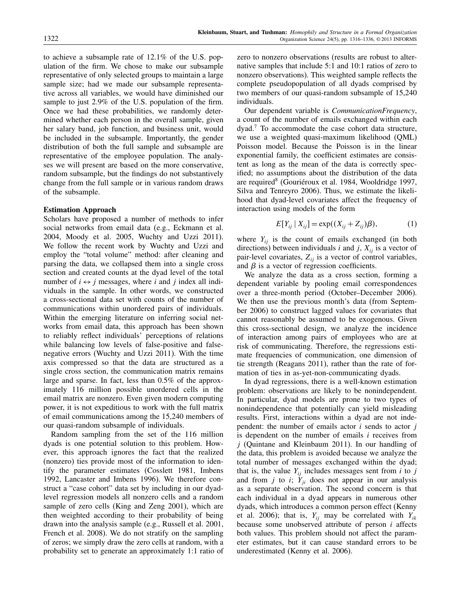to achieve a subsample rate of 12.1% of the U.S. population of the firm. We chose to make our subsample representative of only selected groups to maintain a large sample size; had we made our subsample representative across all variables, we would have diminished our sample to just 2.9% of the U.S. population of the firm. Once we had these probabilities, we randomly determined whether each person in the overall sample, given her salary band, job function, and business unit, would be included in the subsample. Importantly, the gender distribution of both the full sample and subsample are representative of the employee population. The analyses we will present are based on the more conservative, random subsample, but the findings do not substantively change from the full sample or in various random draws of the subsample.

### Estimation Approach

Scholars have proposed a number of methods to infer social networks from email data (e.g., Eckmann et al. 2004, Moody et al. 2005, Wuchty and Uzzi 2011). We follow the recent work by Wuchty and Uzzi and employ the "total volume" method: after cleaning and parsing the data, we collapsed them into a single cross section and created counts at the dyad level of the total number of  $i \leftrightarrow j$  messages, where i and j index all individuals in the sample. In other words, we constructed a cross-sectional data set with counts of the number of communications within unordered pairs of individuals. Within the emerging literature on inferring social networks from email data, this approach has been shown to reliably reflect individuals' perceptions of relations while balancing low levels of false-positive and falsenegative errors (Wuchty and Uzzi 2011). With the time axis compressed so that the data are structured as a single cross section, the communication matrix remains large and sparse. In fact, less than 0.5% of the approximately 116 million possible unordered cells in the email matrix are nonzero. Even given modern computing power, it is not expeditious to work with the full matrix of email communications among the 15,240 members of our quasi-random subsample of individuals.

Random sampling from the set of the 116 million dyads is one potential solution to this problem. However, this approach ignores the fact that the realized (nonzero) ties provide most of the information to identify the parameter estimates (Cosslett 1981, Imbens 1992, Lancaster and Imbens 1996). We therefore construct a "case cohort" data set by including in our dyadlevel regression models all nonzero cells and a random sample of zero cells (King and Zeng 2001), which are then weighted according to their probability of being drawn into the analysis sample (e.g., Russell et al. 2001, French et al. 2008). We do not stratify on the sampling of zeros; we simply draw the zero cells at random, with a probability set to generate an approximately 1:1 ratio of zero to nonzero observations (results are robust to alternative samples that include 5:1 and 10:1 ratios of zero to nonzero observations). This weighted sample reflects the complete pseudopopulation of all dyads comprised by two members of our quasi-random subsample of 15,240 individuals.

Our dependent variable is CommunicationFrequency, a count of the number of emails exchanged within each dyad.<sup>7</sup> To accommodate the case cohort data structure, we use a weighted quasi-maximum likelihood (QML) Poisson model. Because the Poisson is in the linear exponential family, the coefficient estimates are consistent as long as the mean of the data is correctly specified; no assumptions about the distribution of the data are required<sup>8</sup> (Gouriéroux et al. 1984, Wooldridge 1997, Silva and Tenreyro 2006). Thus, we estimate the likelihood that dyad-level covariates affect the frequency of interaction using models of the form

$$
E[Y_{ij} | X_{ij}] = \exp((X_{ij} + Z_{ij})\beta), \tag{1}
$$

where  $Y_{ij}$  is the count of emails exchanged (in both directions) between individuals i and j,  $X_{ii}$  is a vector of pair-level covariates,  $Z_{ij}$  is a vector of control variables, and  $\beta$  is a vector of regression coefficients.

We analyze the data as a cross section, forming a dependent variable by pooling email correspondences over a three-month period (October–December 2006). We then use the previous month's data (from September 2006) to construct lagged values for covariates that cannot reasonably be assumed to be exogenous. Given this cross-sectional design, we analyze the incidence of interaction among pairs of employees who are at risk of communicating. Therefore, the regressions estimate frequencies of communication, one dimension of tie strength (Reagans 2011), rather than the rate of formation of ties in as-yet-non-communicating dyads.

In dyad regressions, there is a well-known estimation problem: observations are likely to be nonindependent. In particular, dyad models are prone to two types of nonindependence that potentially can yield misleading results. First, interactions within a dyad are not independent: the number of emails actor  $i$  sends to actor  $j$ is dependent on the number of emails i receives from  $j$  (Quintane and Kleinbaum 2011). In our handling of the data, this problem is avoided because we analyze the total number of messages exchanged within the dyad; that is, the value  $Y_{ij}$  includes messages sent from i to j and from j to i;  $Y_{ji}$  does not appear in our analysis as a separate observation. The second concern is that each individual in a dyad appears in numerous other dyads, which introduces a common person effect (Kenny et al. 2006); that is,  $Y_{ij}$  may be correlated with  $Y_{ik}$ because some unobserved attribute of person  $i$  affects both values. This problem should not affect the parameter estimates, but it can cause standard errors to be underestimated (Kenny et al. 2006).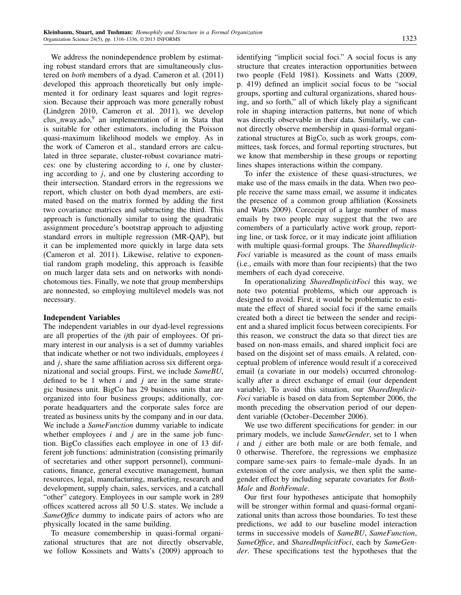We address the nonindependence problem by estimating robust standard errors that are simultaneously clustered on both members of a dyad. Cameron et al. (2011) developed this approach theoretically but only implemented it for ordinary least squares and logit regression. Because their approach was more generally robust (Lindgren 2010, Cameron et al. 2011), we develop clus\_nway.ado,<sup>9</sup> an implementation of it in Stata that is suitable for other estimators, including the Poisson quasi-maximum likelihood models we employ. As in the work of Cameron et al., standard errors are calculated in three separate, cluster-robust covariance matrices: one by clustering according to  $i$ , one by clustering according to  $j$ , and one by clustering according to their intersection. Standard errors in the regressions we report, which cluster on both dyad members, are estimated based on the matrix formed by adding the first two covariance matrices and subtracting the third. This approach is functionally similar to using the quadratic assignment procedure's bootstrap approach to adjusting standard errors in multiple regression (MR-QAP), but it can be implemented more quickly in large data sets (Cameron et al. 2011). Likewise, relative to exponential random graph modeling, this approach is feasible on much larger data sets and on networks with nondichotomous ties. Finally, we note that group memberships are nonnested, so employing multilevel models was not necessary.

### Independent Variables

The independent variables in our dyad-level regressions are all properties of the ijth pair of employees. Of primary interest in our analysis is a set of dummy variables that indicate whether or not two individuals, employees  $i$ and j, share the same affiliation across six different organizational and social groups. First, we include SameBU, defined to be 1 when  $i$  and  $j$  are in the same strategic business unit. BigCo has 29 business units that are organized into four business groups; additionally, corporate headquarters and the corporate sales force are treated as business units by the company and in our data. We include a SameFunction dummy variable to indicate whether employees  $i$  and  $j$  are in the same job function. BigCo classifies each employee in one of 13 different job functions: administration (consisting primarily of secretaries and other support personnel), communications, finance, general executive management, human resources, legal, manufacturing, marketing, research and development, supply chain, sales, services, and a catchall "other" category. Employees in our sample work in 289 offices scattered across all 50 U.S. states. We include a SameOffice dummy to indicate pairs of actors who are physically located in the same building.

To measure comembership in quasi-formal organizational structures that are not directly observable, we follow Kossinets and Watts's (2009) approach to identifying "implicit social foci." A social focus is any structure that creates interaction opportunities between two people (Feld 1981). Kossinets and Watts (2009, p. 419) defined an implicit social focus to be "social groups, sporting and cultural organizations, shared housing, and so forth," all of which likely play a significant role in shaping interaction patterns, but none of which was directly observable in their data. Similarly, we cannot directly observe membership in quasi-formal organizational structures at BigCo, such as work groups, committees, task forces, and formal reporting structures, but we know that membership in these groups or reporting lines shapes interactions within the company.

To infer the existence of these quasi-structures, we make use of the mass emails in the data. When two people receive the same mass email, we assume it indicates the presence of a common group affiliation (Kossinets and Watts 2009). Coreceipt of a large number of mass emails by two people may suggest that the two are comembers of a particularly active work group, reporting line, or task force, or it may indicate joint affiliation with multiple quasi-formal groups. The *SharedImplicit-*Foci variable is measured as the count of mass emails (i.e., emails with more than four recipients) that the two members of each dyad coreceive.

In operationalizing *SharedImplicitFoci* this way, we note two potential problems, which our approach is designed to avoid. First, it would be problematic to estimate the effect of shared social foci if the same emails created both a direct tie between the sender and recipient and a shared implicit focus between corecipients. For this reason, we construct the data so that direct ties are based on non-mass emails, and shared implicit foci are based on the disjoint set of mass emails. A related, conceptual problem of inference would result if a coreceived email (a covariate in our models) occurred chronologically after a direct exchange of email (our dependent variable). To avoid this situation, our SharedImplicit-Foci variable is based on data from September 2006, the month preceding the observation period of our dependent variable (October–December 2006).

We use two different specifications for gender: in our primary models, we include SameGender, set to 1 when i and *j* either are both male or are both female, and 0 otherwise. Therefore, the regressions we emphasize compare same-sex pairs to female–male dyads. In an extension of the core analysis, we then split the samegender effect by including separate covariates for Both-Male and BothFemale.

Our first four hypotheses anticipate that homophily will be stronger within formal and quasi-formal organizational units than across those boundaries. To test these predictions, we add to our baseline model interaction terms in successive models of SameBU, SameFunction, SameOffice, and SharedImplicitFoci, each by SameGender. These specifications test the hypotheses that the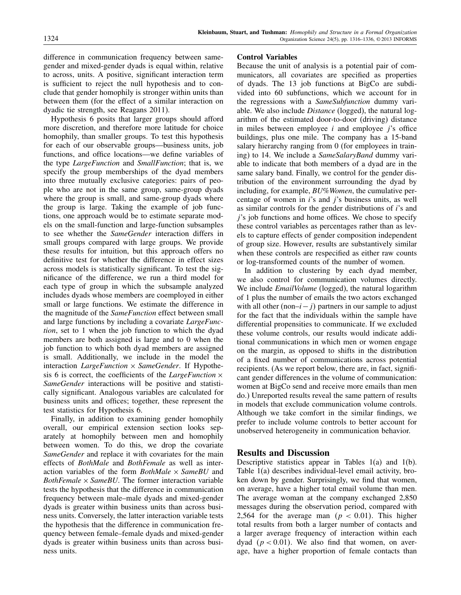difference in communication frequency between samegender and mixed-gender dyads is equal within, relative to across, units. A positive, significant interaction term is sufficient to reject the null hypothesis and to conclude that gender homophily is stronger within units than between them (for the effect of a similar interaction on dyadic tie strength, see Reagans 2011).

Hypothesis 6 posits that larger groups should afford more discretion, and therefore more latitude for choice homophily, than smaller groups. To test this hypothesis for each of our observable groups—business units, job functions, and office locations—we define variables of the type LargeFunction and SmallFunction; that is, we specify the group memberships of the dyad members into three mutually exclusive categories: pairs of people who are not in the same group, same-group dyads where the group is small, and same-group dyads where the group is large. Taking the example of job functions, one approach would be to estimate separate models on the small-function and large-function subsamples to see whether the SameGender interaction differs in small groups compared with large groups. We provide these results for intuition, but this approach offers no definitive test for whether the difference in effect sizes across models is statistically significant. To test the significance of the difference, we run a third model for each type of group in which the subsample analyzed includes dyads whose members are coemployed in either small or large functions. We estimate the difference in the magnitude of the *SameFunction* effect between small and large functions by including a covariate LargeFunction, set to 1 when the job function to which the dyad members are both assigned is large and to 0 when the job function to which both dyad members are assigned is small. Additionally, we include in the model the interaction  $LargeFunction \times SameGender$ . If Hypothesis 6 is correct, the coefficients of the *LargeFunction*  $\times$ SameGender interactions will be positive and statistically significant. Analogous variables are calculated for business units and offices; together, these represent the test statistics for Hypothesis 6.

Finally, in addition to examining gender homophily overall, our empirical extension section looks separately at homophily between men and homophily between women. To do this, we drop the covariate SameGender and replace it with covariates for the main effects of BothMale and BothFemale as well as interaction variables of the form  $BothMale \times SameBU$  and BothFemale  $\times$  SameBU. The former interaction variable tests the hypothesis that the difference in communication frequency between male–male dyads and mixed-gender dyads is greater within business units than across business units. Conversely, the latter interaction variable tests the hypothesis that the difference in communication frequency between female–female dyads and mixed-gender dyads is greater within business units than across business units.

## Control Variables

Because the unit of analysis is a potential pair of communicators, all covariates are specified as properties of dyads. The 13 job functions at BigCo are subdivided into 60 subfunctions, which we account for in the regressions with a SameSubfunction dummy variable. We also include Distance (logged), the natural logarithm of the estimated door-to-door (driving) distance in miles between employee  $i$  and employee  $j$ 's office buildings, plus one mile. The company has a 15-band salary hierarchy ranging from 0 (for employees in training) to 14. We include a *SameSalaryBand* dummy variable to indicate that both members of a dyad are in the same salary band. Finally, we control for the gender distribution of the environment surrounding the dyad by including, for example, BU%Women, the cumulative percentage of women in  $i$ 's and  $j$ 's business units, as well as similar controls for the gender distributions of  $i$ 's and j's job functions and home offices. We chose to specify these control variables as percentages rather than as levels to capture effects of gender composition independent of group size. However, results are substantively similar when these controls are respecified as either raw counts or log-transformed counts of the number of women.

In addition to clustering by each dyad member, we also control for communication volumes directly. We include *EmailVolume* (logged), the natural logarithm of 1 plus the number of emails the two actors exchanged with all other (non– $i - j$ ) partners in our sample to adjust for the fact that the individuals within the sample have differential propensities to communicate. If we excluded these volume controls, our results would indicate additional communications in which men or women engage on the margin, as opposed to shifts in the distribution of a fixed number of communications across potential recipients. (As we report below, there are, in fact, significant gender differences in the volume of communication: women at BigCo send and receive more emails than men do.) Unreported results reveal the same pattern of results in models that exclude communication volume controls. Although we take comfort in the similar findings, we prefer to include volume controls to better account for unobserved heterogeneity in communication behavior.

# Results and Discussion

Descriptive statistics appear in Tables 1(a) and 1(b). Table 1(a) describes individual-level email activity, broken down by gender. Surprisingly, we find that women, on average, have a higher total email volume than men. The average woman at the company exchanged 2,850 messages during the observation period, compared with 2,564 for the average man  $(p < 0.01)$ . This higher total results from both a larger number of contacts and a larger average frequency of interaction within each dyad  $(p < 0.01)$ . We also find that women, on average, have a higher proportion of female contacts than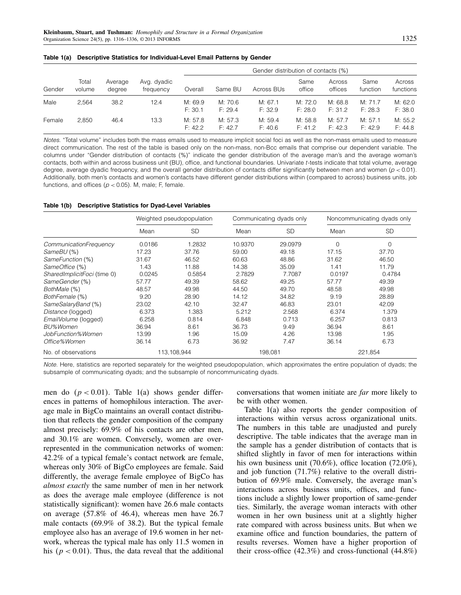|  |  |  |  | Table 1(a) Descriptive Statistics for Individual-Level Email Patterns by Gender |  |  |  |  |
|--|--|--|--|---------------------------------------------------------------------------------|--|--|--|--|
|--|--|--|--|---------------------------------------------------------------------------------|--|--|--|--|

| Gender |                 |                   | Avg. dyadic<br>frequency |                    | Gender distribution of contacts (%) |                    |                    |                    |                    |                     |  |  |
|--------|-----------------|-------------------|--------------------------|--------------------|-------------------------------------|--------------------|--------------------|--------------------|--------------------|---------------------|--|--|
|        | Total<br>volume | Average<br>degree |                          | Overall            | Same BU                             | Across BUs         | Same<br>office     | Across<br>offices  | Same<br>function   | Across<br>functions |  |  |
| Male   | 2.564           | 38.2              | 12.4                     | M: 69.9<br>F: 30.1 | M: 70.6<br>F: 29.4                  | M: 67.1<br>F: 32.9 | M: 72.0<br>F: 28.0 | M: 68.8<br>F: 31.2 | M: 71.7<br>F: 28.3 | M: 62.0<br>F: 38.0  |  |  |
| Female | 2.850           | 46.4              | 13.3                     | M: 57.8<br>F: 42.2 | M: 57.3<br>F: 42.7                  | M: 59.4<br>F: 40.6 | M: 58.8<br>F: 41.2 | M: 57.7<br>F: 42.3 | M: 57.1<br>F: 42.9 | M: 55.2<br>F: 44.8  |  |  |

Notes. "Total volume" includes both the mass emails used to measure implicit social foci as well as the non-mass emails used to measure direct communication. The rest of the table is based only on the non-mass, non-Bcc emails that comprise our dependent variable. The columns under "Gender distribution of contacts (%)" indicate the gender distribution of the average man's and the average woman's contacts, both within and across business unit (BU), office, and functional boundaries. Univariate t-tests indicate that total volume, average degree, average dyadic frequency, and the overall gender distribution of contacts differ significantly between men and women ( $p < 0.01$ ). Additionally, both men's contacts and women's contacts have different gender distributions within (compared to across) business units, job functions, and offices ( $p < 0.05$ ). M, male; F, female.

#### Table 1(b) Descriptive Statistics for Dyad-Level Variables

|                             | Weighted pseudopopulation |             |         | Communicating dyads only | Noncommunicating dyads only |           |  |
|-----------------------------|---------------------------|-------------|---------|--------------------------|-----------------------------|-----------|--|
|                             | Mean                      | <b>SD</b>   | Mean    | <b>SD</b>                | Mean                        | <b>SD</b> |  |
| CommunicationFrequency      | 0.0186                    | 1.2832      | 10.9370 | 29.0979                  | $\Omega$                    | $\Omega$  |  |
| SameBU (%)                  | 17.23                     | 37.76       | 59.00   | 49.18                    | 17.15                       | 37.70     |  |
| SameFunction (%)            | 31.67                     | 46.52       | 60.63   | 48.86                    | 31.62                       | 46.50     |  |
| SameOffice (%)              | 1.43                      | 11.88       | 14.38   | 35.09                    | 1.41                        | 11.79     |  |
| SharedImplicitFoci (time 0) | 0.0245                    | 0.5854      | 2.7829  | 7.7087                   | 0.0197                      | 0.4784    |  |
| SameGender (%)              | 57.77                     | 49.39       | 58.62   | 49.25                    | 57.77                       | 49.39     |  |
| BothMale (%)                | 48.57                     | 49.98       | 44.50   | 49.70                    | 48.58                       | 49.98     |  |
| BothFemale (%)              | 9.20                      | 28.90       | 14.12   | 34.82                    | 9.19                        | 28.89     |  |
| SameSalaryBand (%)          | 23.02                     | 42.10       | 32.47   | 46.83                    | 23.01                       | 42.09     |  |
| Distance (logged)           | 6.373                     | 1.383       | 5.212   | 2.568                    | 6.374                       | 1.379     |  |
| EmailVolume (logged)        | 6.258                     | 0.814       | 6.848   | 0.713                    | 6.257                       | 0.813     |  |
| BU%Women                    | 36.94                     | 8.61        | 36.73   | 9.49                     | 36.94                       | 8.61      |  |
| JobFunction%Women           | 13.99                     | 1.96        | 15.09   | 4.26                     | 13.98                       | 1.95      |  |
| Office%Women                | 36.14                     | 6.73        | 36.92   | 7.47                     | 36.14                       | 6.73      |  |
| No. of observations         |                           | 113,108,944 |         | 198.081                  |                             | 221.854   |  |

Note. Here, statistics are reported separately for the weighted pseudopopulation, which approximates the entire population of dyads; the subsample of communicating dyads; and the subsample of noncommunicating dyads.

men do  $(p < 0.01)$ . Table 1(a) shows gender differences in patterns of homophilous interaction. The average male in BigCo maintains an overall contact distribution that reflects the gender composition of the company almost precisely: 69.9% of his contacts are other men, and 30.1% are women. Conversely, women are overrepresented in the communication networks of women: 42.2% of a typical female's contact network are female, whereas only 30% of BigCo employees are female. Said differently, the average female employee of BigCo has almost exactly the same number of men in her network as does the average male employee (difference is not statistically significant): women have 26.6 male contacts on average (57.8% of 46.4), whereas men have 26.7 male contacts (69.9% of 38.2). But the typical female employee also has an average of 19.6 women in her network, whereas the typical male has only 11.5 women in his  $(p < 0.01)$ . Thus, the data reveal that the additional conversations that women initiate are far more likely to be with other women.

Table 1(a) also reports the gender composition of interactions within versus across organizational units. The numbers in this table are unadjusted and purely descriptive. The table indicates that the average man in the sample has a gender distribution of contacts that is shifted slightly in favor of men for interactions within his own business unit (70.6%), office location (72.0%), and job function (71.7%) relative to the overall distribution of 69.9% male. Conversely, the average man's interactions across business units, offices, and functions include a slightly lower proportion of same-gender ties. Similarly, the average woman interacts with other women in her own business unit at a slightly higher rate compared with across business units. But when we examine office and function boundaries, the pattern of results reverses. Women have a higher proportion of their cross-office (42.3%) and cross-functional (44.8%)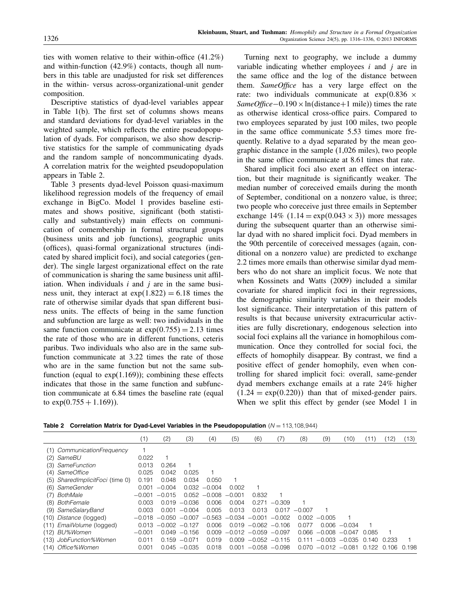ties with women relative to their within-office (41.2%) and within-function (42.9%) contacts, though all numbers in this table are unadjusted for risk set differences in the within- versus across-organizational-unit gender composition.

Descriptive statistics of dyad-level variables appear in Table 1(b). The first set of columns shows means and standard deviations for dyad-level variables in the weighted sample, which reflects the entire pseudopopulation of dyads. For comparison, we also show descriptive statistics for the sample of communicating dyads and the random sample of noncommunicating dyads. A correlation matrix for the weighted pseudopopulation appears in Table 2.

Table 3 presents dyad-level Poisson quasi-maximum likelihood regression models of the frequency of email exchange in BigCo. Model 1 provides baseline estimates and shows positive, significant (both statistically and substantively) main effects on communication of comembership in formal structural groups (business units and job functions), geographic units (offices), quasi-formal organizational structures (indicated by shared implicit foci), and social categories (gender). The single largest organizational effect on the rate of communication is sharing the same business unit affiliation. When individuals  $i$  and  $j$  are in the same business unit, they interact at  $exp(1.822) = 6.18$  times the rate of otherwise similar dyads that span different business units. The effects of being in the same function and subfunction are large as well: two individuals in the same function communicate at  $exp(0.755) = 2.13$  times the rate of those who are in different functions, ceteris paribus. Two individuals who also are in the same subfunction communicate at 3.22 times the rate of those who are in the same function but not the same subfunction (equal to  $exp(1.169)$ ); combining these effects indicates that those in the same function and subfunction communicate at 6.84 times the baseline rate (equal to  $exp(0.755 + 1.169)$ ).

Turning next to geography, we include a dummy variable indicating whether employees  $i$  and  $j$  are in the same office and the log of the distance between them. SameOffice has a very large effect on the rate: two individuals communicate at  $exp(0.836 \times$ SameOffice–0.190 × ln(distance+1 mile)) times the rate as otherwise identical cross-office pairs. Compared to two employees separated by just 100 miles, two people in the same office communicate 5.53 times more frequently. Relative to a dyad separated by the mean geographic distance in the sample (1,026 miles), two people in the same office communicate at 8.61 times that rate.

Shared implicit foci also exert an effect on interaction, but their magnitude is significantly weaker. The median number of coreceived emails during the month of September, conditional on a nonzero value, is three; two people who coreceive just three emails in September exchange  $14\%$   $(1.14 = \exp(0.043 \times 3))$  more messages during the subsequent quarter than an otherwise similar dyad with no shared implicit foci. Dyad members in the 90th percentile of coreceived messages (again, conditional on a nonzero value) are predicted to exchange 2.2 times more emails than otherwise similar dyad members who do not share an implicit focus. We note that when Kossinets and Watts (2009) included a similar covariate for shared implicit foci in their regressions, the demographic similarity variables in their models lost significance. Their interpretation of this pattern of results is that because university extracurricular activities are fully discretionary, endogenous selection into social foci explains all the variance in homophilous communication. Once they controlled for social foci, the effects of homophily disappear. By contrast, we find a positive effect of gender homophily, even when controlling for shared implicit foci: overall, same-gender dyad members exchange emails at a rate 24% higher  $(1.24 = \exp(0.220))$  than that of mixed-gender pairs. When we split this effect by gender (see Model 1 in

|  |  |  | Table 2 Correlation Matrix for Dyad-Level Variables in the Pseudopopulation ( $N = 113, 108, 944$ ) |  |
|--|--|--|-----------------------------------------------------------------------------------------------------|--|
|--|--|--|-----------------------------------------------------------------------------------------------------|--|

|                                  | (1)      | (2)                        | (3)             | (4)             | (5)      | (6)                      | (7)      | (8)      | (9)              | (10)             | (11)  | (12)  | (13)  |
|----------------------------------|----------|----------------------------|-----------------|-----------------|----------|--------------------------|----------|----------|------------------|------------------|-------|-------|-------|
| (1) CommunicationFrequency       |          |                            |                 |                 |          |                          |          |          |                  |                  |       |       |       |
| (2) SameBU                       | 0.022    |                            |                 |                 |          |                          |          |          |                  |                  |       |       |       |
| (3) SameFunction                 | 0.013    | 0.264                      |                 |                 |          |                          |          |          |                  |                  |       |       |       |
| (4) SameOffice                   | 0.025    | 0.042                      | 0.025           |                 |          |                          |          |          |                  |                  |       |       |       |
| (5) SharedImplicitFoci (time 0)  | 0.191    | 0.048                      | 0.034           | 0.050           |          |                          |          |          |                  |                  |       |       |       |
| (6) SameGender                   | 0.001    | $-0.004$                   |                 | $0.032 - 0.004$ | 0.002    |                          |          |          |                  |                  |       |       |       |
| (7) BothMale                     | $-0.001$ | $-0.015$                   |                 | $0.052 - 0.008$ | $-0.001$ | 0.832                    |          |          |                  |                  |       |       |       |
| (8) BothFemale                   | 0.003    |                            | $0.019 - 0.036$ | 0.006           | 0.004    | 0.271                    | $-0.309$ |          |                  |                  |       |       |       |
| (9) SameSalaryBand               | 0.003    | 0.001                      | $-0.004$        | 0.005           | 0.013    | 0.013                    | 0.017    | $-0.007$ |                  |                  |       |       |       |
| (10) Distance (logged)           |          | $-0.018$ $-0.050$ $-0.007$ |                 |                 |          | $-0.563 - 0.034 - 0.001$ | $-0.002$ |          | $0.002 - 0.005$  |                  |       |       |       |
| (11) <i>EmailVolume</i> (logged) | 0.013    | $-0.002 - 0.127$           |                 | 0.006           |          | $0.019 - 0.062 - 0.106$  |          | 0.077    |                  | $0.006 - 0.034$  |       |       |       |
| $(12)$ BU%Women                  | $-0.001$ |                            | $0.049 - 0.156$ | 0.009           |          | $-0.012 - 0.059 - 0.097$ |          | 0.066    | $-0.008 - 0.047$ |                  | O 085 |       |       |
| (13) JobFunction%Women           | 0.011    |                            | $0.159 - 0.071$ | 0.019           |          | $0.009 - 0.052 - 0.115$  |          | 0.111    |                  | $-0.003 - 0.035$ | 0.140 | 0.233 |       |
| (14) Office%Women                | 0.001    |                            | $0.045 - 0.035$ | 0.018           | 0.001    | $-0.058 - 0.098$         |          | 0.070    | $-0.012 - 0.081$ |                  | 0.122 | 0.106 | 0.198 |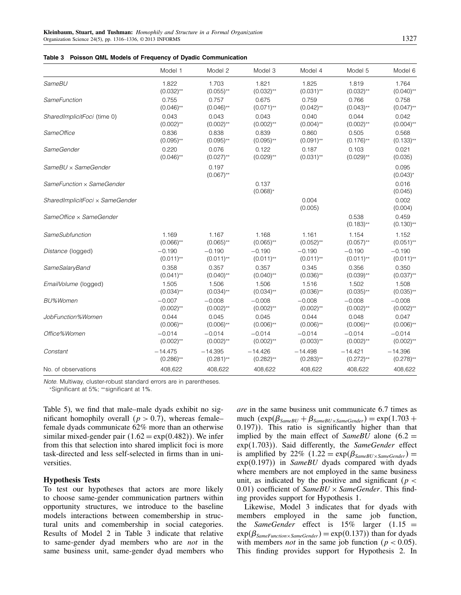|                                 | Model 1      | Model 2               | Model 3             | Model 4          | Model 5               | Model 6               |
|---------------------------------|--------------|-----------------------|---------------------|------------------|-----------------------|-----------------------|
| <b>SameBU</b>                   | 1.822        | 1.703                 | 1.821               | 1.825            | 1.819                 | 1.764                 |
|                                 | $(0.032)$ ** | $(0.055)$ **          | $(0.032)$ **        | $(0.031)$ **     | $(0.032)$ **          | $(0.040)$ **          |
| <b>SameFunction</b>             | 0.755        | 0.757                 | 0.675               | 0.759            | 0.766                 | 0.758                 |
|                                 | $(0.046)$ ** | $(0.046)$ **          | $(0.071)$ **        | $(0.042)$ **     | $(0.043)$ **          | $(0.047)$ **          |
| SharedImplicitFoci (time 0)     | 0.043        | 0.043                 | 0.043               | 0.040            | 0.044                 | 0.042                 |
|                                 | $(0.002)$ ** | $(0.002)$ **          | $(0.002)$ **        | $(0.004)$ **     | $(0.002)$ **          | $(0.004)$ **          |
| SameOffice                      | 0.836        | 0.838                 | 0.839               | 0.860            | 0.505                 | 0.568                 |
|                                 | $(0.095)$ ** | $(0.095)$ **          | $(0.095)$ **        | $(0.091)$ **     | $(0.176)$ **          | $(0.133)$ **          |
| SameGender                      | 0.220        | 0.076                 | 0.122               | 0.187            | 0.103                 | 0.021                 |
|                                 | $(0.046)$ ** | $(0.027)$ **          | $(0.029)$ **        | $(0.031)$ **     | $(0.029)$ **          | (0.035)               |
| SameBU x SameGender             |              | 0.197<br>$(0.067)$ ** |                     |                  |                       | 0.095<br>$(0.043)*$   |
| SameFunction x SameGender       |              |                       | 0.137<br>$(0.068)*$ |                  |                       | 0.016<br>(0.045)      |
| SharedImplicitFoci x SameGender |              |                       |                     | 0.004<br>(0.005) |                       | 0.002<br>(0.004)      |
| SameOffice x SameGender         |              |                       |                     |                  | 0.538<br>$(0.183)$ ** | 0.459<br>$(0.130)$ ** |
| SameSubfunction                 | 1.169        | 1.167                 | 1.168               | 1.161            | 1.154                 | 1.152                 |
|                                 | $(0.066)$ ** | $(0.065)$ **          | $(0.065)$ **        | $(0.052)$ **     | $(0.057)$ **          | $(0.051)$ **          |
| Distance (logged)               | $-0.190$     | $-0.190$              | $-0.190$            | $-0.190$         | $-0.190$              | $-0.190$              |
|                                 | $(0.011)$ ** | $(0.011)$ **          | $(0.011)$ **        | $(0.011)$ **     | $(0.011)$ **          | $(0.011)$ **          |
| SameSalaryBand                  | 0.358        | 0.357                 | 0.357               | 0.345            | 0.356                 | 0.350                 |
|                                 | $(0.041)$ ** | $(0.040)$ **          | $(0.040)$ **        | $(0.036)$ **     | $(0.039)$ **          | $(0.037)$ **          |
| EmailVolume (logged)            | 1.505        | 1.506                 | 1.506               | 1.516            | 1.502                 | 1.508                 |
|                                 | $(0.034)$ ** | $(0.034)$ **          | $(0.034)$ **        | $(0.036)$ **     | $(0.035)$ **          | $(0.035)$ **          |
| <b>BU%Women</b>                 | $-0.007$     | $-0.008$              | $-0.008$            | $-0.008$         | $-0.008$              | $-0.008$              |
|                                 | $(0.002)$ ** | $(0.002)$ **          | $(0.002)$ **        | $(0.002)$ **     | $(0.002)$ **          | $(0.002)$ **          |
| JobFunction%Women               | 0.044        | 0.045                 | 0.045               | 0.044            | 0.048                 | 0.047                 |
|                                 | $(0.006)$ ** | $(0.006)$ **          | $(0.006)$ **        | $(0.006)$ **     | $(0.006)$ **          | $(0.006)$ **          |
| Office%Women                    | $-0.014$     | $-0.014$              | $-0.014$            | $-0.014$         | $-0.014$              | $-0.014$              |
|                                 | $(0.002)$ ** | $(0.002)$ **          | $(0.002)$ **        | $(0.003)$ **     | $(0.002)$ **          | $(0.002)$ **          |
| Constant                        | $-14.475$    | $-14.395$             | $-14.426$           | $-14.498$        | $-14.421$             | $-14.396$             |
|                                 | $(0.286)$ ** | $(0.281)$ **          | $(0.282)$ **        | $(0.283)$ **     | $(0.272)$ **          | $(0.278)$ **          |

No. of observations 408,622 408,622 408,622 408,622 408,622 408,622

Table 3 Poisson QML Models of Frequency of Dyadic Communication

Note. Multiway, cluster-robust standard errors are in parentheses.

<sup>∗</sup>Significant at 5%; ∗∗significant at 1%.

Table 5), we find that male–male dyads exhibit no significant homophily overall  $(p > 0.7)$ , whereas female– female dyads communicate 62% more than an otherwise similar mixed-gender pair  $(1.62 = \exp(0.482))$ . We infer from this that selection into shared implicit foci is more task-directed and less self-selected in firms than in universities.

#### Hypothesis Tests

To test our hypotheses that actors are more likely to choose same-gender communication partners within opportunity structures, we introduce to the baseline models interactions between comembership in structural units and comembership in social categories. Results of Model 2 in Table 3 indicate that relative to same-gender dyad members who are not in the same business unit, same-gender dyad members who are in the same business unit communicate 6.7 times as much  $(\exp(\beta_{SameBU} + \beta_{SameBU \times SameGender}) = \exp(1.703 +$  $(0.197)$ ). This ratio is significantly higher than that implied by the main effect of  $SameBU$  alone  $(6.2 =$  $exp(1.703)$ ). Said differently, the SameGender effect is amplified by 22%  $(1.22 = \exp(\beta_{SameBU \times SameGender}) =$  $exp(0.197)$  in SameBU dyads compared with dyads where members are not employed in the same business unit, as indicated by the positive and significant ( $p <$ 0.01) coefficient of  $SameBU \times SameGender$ . This finding provides support for Hypothesis 1.

Likewise, Model 3 indicates that for dyads with members employed in the same job function, the SameGender effect is  $15\%$  larger  $(1.15 =$  $exp(\beta_{SameFunction \times SameGender}) = exp(0.137))$  than for dyads with members *not* in the same job function ( $p < 0.05$ ). This finding provides support for Hypothesis 2. In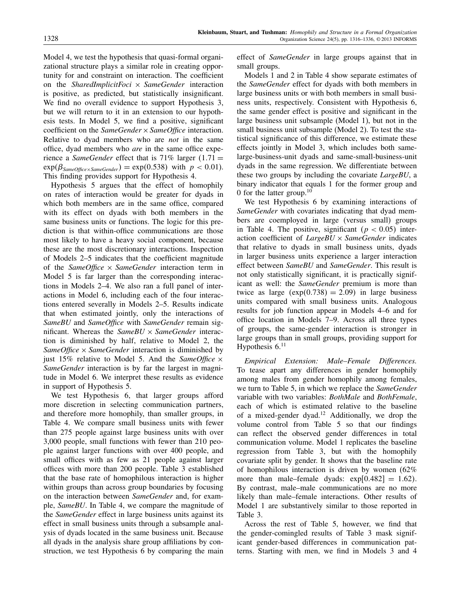Model 4, we test the hypothesis that quasi-formal organizational structure plays a similar role in creating opportunity for and constraint on interaction. The coefficient on the *SharedImplicitFoci*  $\times$  *SameGender* interaction is positive, as predicted, but statistically insignificant. We find no overall evidence to support Hypothesis 3, but we will return to it in an extension to our hypothesis tests. In Model 5, we find a positive, significant coefficient on the  $SameGender \times SameOffice$  interaction. Relative to dyad members who are not in the same office, dyad members who are in the same office experience a *SameGender* effect that is  $71\%$  larger  $(1.71)$  =  $\exp(\beta_{\textit{SameOffice} \times \textit{SameGender}}) = \exp(0.538)$  with  $p < 0.01$ ). This finding provides support for Hypothesis 4.

Hypothesis 5 argues that the effect of homophily on rates of interaction would be greater for dyads in which both members are in the same office, compared with its effect on dyads with both members in the same business units or functions. The logic for this prediction is that within-office communications are those most likely to have a heavy social component, because these are the most discretionary interactions. Inspection of Models 2–5 indicates that the coefficient magnitude of the SameOffice  $\times$  SameGender interaction term in Model 5 is far larger than the corresponding interactions in Models 2–4. We also ran a full panel of interactions in Model 6, including each of the four interactions entered severally in Models 2–5. Results indicate that when estimated jointly, only the interactions of SameBU and SameOffice with SameGender remain significant. Whereas the  $SameBU \times SameGender$  interaction is diminished by half, relative to Model 2, the SameOffice  $\times$  SameGender interaction is diminished by just 15% relative to Model 5. And the SameOffice  $\times$ SameGender interaction is by far the largest in magnitude in Model 6. We interpret these results as evidence in support of Hypothesis 5.

We test Hypothesis 6, that larger groups afford more discretion in selecting communication partners, and therefore more homophily, than smaller groups, in Table 4. We compare small business units with fewer than 275 people against large business units with over 3,000 people, small functions with fewer than 210 people against larger functions with over 400 people, and small offices with as few as 21 people against larger offices with more than 200 people. Table 3 established that the base rate of homophilous interaction is higher within groups than across group boundaries by focusing on the interaction between SameGender and, for example, SameBU. In Table 4, we compare the magnitude of the SameGender effect in large business units against its effect in small business units through a subsample analysis of dyads located in the same business unit. Because all dyads in the analysis share group affiliations by construction, we test Hypothesis 6 by comparing the main

effect of SameGender in large groups against that in small groups.

Models 1 and 2 in Table 4 show separate estimates of the SameGender effect for dyads with both members in large business units or with both members in small business units, respectively. Consistent with Hypothesis 6, the same gender effect is positive and significant in the large business unit subsample (Model 1), but not in the small business unit subsample (Model 2). To test the statistical significance of this difference, we estimate these effects jointly in Model 3, which includes both samelarge-business-unit dyads and same-small-business-unit dyads in the same regression. We differentiate between these two groups by including the covariate LargeBU, a binary indicator that equals 1 for the former group and 0 for the latter group. $10$ 

We test Hypothesis 6 by examining interactions of SameGender with covariates indicating that dyad members are coemployed in large (versus small) groups in Table 4. The positive, significant  $(p < 0.05)$  interaction coefficient of  $LargeBU \times SameGender$  indicates that relative to dyads in small business units, dyads in larger business units experience a larger interaction effect between SameBU and SameGender. This result is not only statistically significant, it is practically significant as well: the *SameGender* premium is more than twice as large  $(\exp(0.738)) = 2.09$  in large business units compared with small business units. Analogous results for job function appear in Models 4–6 and for office location in Models 7–9. Across all three types of groups, the same-gender interaction is stronger in large groups than in small groups, providing support for Hypothesis  $6.<sup>11</sup>$ 

Empirical Extension: Male–Female Differences. To tease apart any differences in gender homophily among males from gender homophily among females, we turn to Table 5, in which we replace the SameGender variable with two variables: BothMale and BothFemale, each of which is estimated relative to the baseline of a mixed-gender dyad.<sup>12</sup> Additionally, we drop the volume control from Table 5 so that our findings can reflect the observed gender differences in total communication volume. Model 1 replicates the baseline regression from Table 3, but with the homophily covariate split by gender. It shows that the baseline rate of homophilous interaction is driven by women (62% more than male–female dyads:  $exp[0.482] = 1.62$ . By contrast, male–male communications are no more likely than male–female interactions. Other results of Model 1 are substantively similar to those reported in Table 3.

Across the rest of Table 5, however, we find that the gender-comingled results of Table 3 mask significant gender-based differences in communication patterns. Starting with men, we find in Models 3 and 4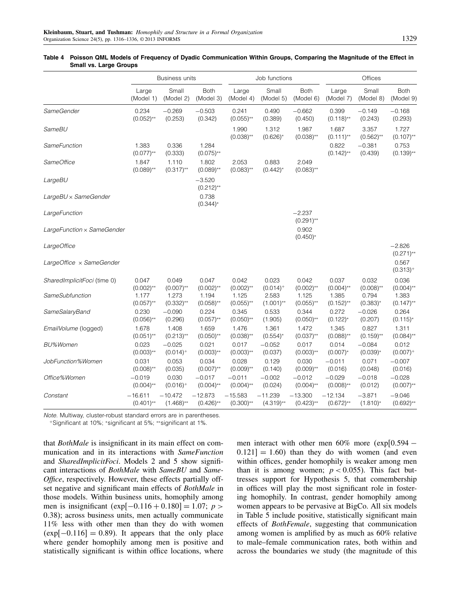|                                   |                       | <b>Business units</b> |                          | Job functions         |                      |                          |                       | Offices               |                          |  |
|-----------------------------------|-----------------------|-----------------------|--------------------------|-----------------------|----------------------|--------------------------|-----------------------|-----------------------|--------------------------|--|
|                                   | Large                 | Small                 | Both                     | Large                 | Small                | Both                     | Large                 | Small                 | <b>Both</b>              |  |
|                                   | (Model 1)             | (Model 2)             | (Model 3)                | (Model 4)             | (Model 5)            | (Model 6)                | (Model 7)             | (Model 8)             | (Model 9)                |  |
| <b>SameGender</b>                 | 0.234                 | $-0.269$              | $-0.503$                 | 0.241                 | 0.490                | $-0.662$                 | 0.399                 | $-0.149$              | $-0.168$                 |  |
|                                   | $(0.052)$ **          | (0.253)               | (0.342)                  | $(0.055)$ **          | (0.389)              | (0.450)                  | $(0.118)$ **          | (0.243)               | (0.293)                  |  |
| SameBU                            |                       |                       |                          | 1.990<br>$(0.038)$ ** | 1.312<br>$(0.626)*$  | 1.987<br>$(0.038)$ **    | 1.687<br>$(0.111)$ ** | 3.357<br>$(0.562)$ ** | 1.727<br>$(0.107)$ **    |  |
| <b>SameFunction</b>               | 1.383<br>$(0.077)$ ** | 0.336<br>(0.333)      | 1.284<br>$(0.075)$ **    |                       |                      |                          | 0.822<br>$(0.142)$ ** | $-0.381$<br>(0.439)   | 0.753<br>$(0.139)$ **    |  |
| SameOffice                        | 1.847<br>$(0.089)$ ** | 1.110<br>$(0.317)$ ** | 1.802<br>$(0.089)$ **    | 2.053<br>$(0.083)$ ** | 0.883<br>$(0.442)^*$ | 2.049<br>$(0.083)$ **    |                       |                       |                          |  |
| LargeBU                           |                       |                       | $-3.520$<br>$(0.212)$ ** |                       |                      |                          |                       |                       |                          |  |
| LargeBU x SameGender              |                       |                       | 0.738<br>$(0.344)^*$     |                       |                      |                          |                       |                       |                          |  |
| LargeFunction                     |                       |                       |                          |                       |                      | $-2.237$<br>$(0.291)$ ** |                       |                       |                          |  |
| LargeFunction $\times$ SameGender |                       |                       |                          |                       |                      | 0.902<br>$(0.450)*$      |                       |                       |                          |  |
| LargeOffice                       |                       |                       |                          |                       |                      |                          |                       |                       | $-2.826$<br>$(0.271)$ ** |  |
| LargeOffice x SameGender          |                       |                       |                          |                       |                      |                          |                       |                       | 0.567<br>$(0.313)^{+}$   |  |
| SharedImplicitFoci (time 0)       | 0.047                 | 0.049                 | 0.047                    | 0.042                 | 0.023                | 0.042                    | 0.037                 | 0.032                 | 0.036                    |  |
|                                   | $(0.002)$ **          | $(0.007)$ **          | $(0.002)$ **             | $(0.002)$ **          | $(0.014)^+$          | $(0.002)$ **             | $(0.004)$ **          | $(0.008)$ **          | $(0.004)$ **             |  |
| <b>SameSubfunction</b>            | 1.177                 | 1.273                 | 1.194                    | 1.125                 | 2.583                | 1.125                    | 1.385                 | 0.794                 | 1.383                    |  |
|                                   | $(0.057)$ **          | $(0.332)$ **          | $(0.058)$ **             | $(0.055)$ **          | $(1.001)$ **         | $(0.055)$ **             | $(0.152)$ **          | $(0.383)*$            | $(0.147)$ **             |  |
| SameSalaryBand                    | 0.230                 | $-0.090$              | 0.224                    | 0.345                 | 0.533                | 0.344                    | 0.272                 | $-0.026$              | 0.264                    |  |
|                                   | $(0.056)$ **          | (0.296)               | $(0.057)$ **             | $(0.050)$ **          | (1.905)              | $(0.050)$ **             | $(0.122)*$            | (0.207)               | $(0.115)*$               |  |
| EmailVolume (logged)              | 1.678                 | 1.408                 | 1.659                    | 1.476                 | 1.361                | 1.472                    | 1.345                 | 0.827                 | 1.311                    |  |
|                                   | $(0.051)$ **          | $(0.213)$ **          | $(0.050)$ **             | $(0.038)$ **          | $(0.554)$ *          | $(0.037)$ **             | $(0.088)$ **          | $(0.159)$ **          | $(0.084)$ **             |  |
| <b>BU%Women</b>                   | 0.023                 | $-0.025$              | 0.021                    | 0.017                 | $-0.052$             | 0.017                    | 0.014                 | $-0.084$              | 0.012                    |  |
|                                   | $(0.003)$ **          | $(0.014)^+$           | $(0.003)$ **             | $(0.003)$ **          | (0.037)              | $(0.003)$ **             | $(0.007)^*$           | $(0.039)^*$           | $(0.007)^+$              |  |
| JobFunction%Women                 | 0.031                 | 0.053                 | 0.034                    | 0.028                 | 0.129                | 0.030                    | $-0.011$              | 0.071                 | $-0.007$                 |  |
|                                   | $(0.008)$ **          | (0.035)               | $(0.007)$ **             | $(0.009)$ **          | (0.140)              | $(0.009)$ **             | (0.016)               | (0.048)               | (0.016)                  |  |
| Office%Women                      | $-0.019$              | 0.030                 | $-0.017$                 | $-0.011$              | $-0.002$             | $-0.012$                 | $-0.029$              | $-0.018$              | $-0.028$                 |  |
|                                   | $(0.004)$ **          | $(0.016)^+$           | $(0.004)$ **             | $(0.004)$ **          | (0.024)              | $(0.004)$ **             | $(0.008)$ **          | (0.012)               | $(0.007)$ **             |  |
| Constant                          | $-16.611$             | $-10.472$             | $-12.873$                | $-15.583$             | $-11.239$            | $-13.300$                | $-12.134$             | $-3.871$              | $-9.046$                 |  |
|                                   | $(0.401)$ **          | $(1.468)$ **          | $(0.426)$ **             | $(0.300)$ **          | $(4.319)$ **         | $(0.423)$ **             | $(0.672)$ **          | $(1.810)^*$           | $(0.692)$ **             |  |

#### Table 4 Poisson QML Models of Frequency of Dyadic Communication Within Groups, Comparing the Magnitude of the Effect in Small vs. Large Groups

Note. Multiway, cluster-robust standard errors are in parentheses.

<sup>+</sup>Significant at 10%; <sup>∗</sup>significant at 5%; ∗∗significant at 1%.

that BothMale is insignificant in its main effect on communication and in its interactions with SameFunction and SharedImplicitFoci. Models 2 and 5 show significant interactions of BothMale with SameBU and Same-Office, respectively. However, these effects partially offset negative and significant main effects of BothMale in those models. Within business units, homophily among men is insignificant  $(\exp[-0.116 + 0.180] = 1.07; p >$ 0.38); across business units, men actually communicate 11% less with other men than they do with women  $\exp[-0.116] = 0.89$ . It appears that the only place where gender homophily among men is positive and statistically significant is within office locations, where men interact with other men  $60\%$  more  $(exp[0.594 0.121$ ] = 1.60) than they do with women (and even within offices, gender homophily is weaker among men than it is among women;  $p < 0.055$ ). This fact buttresses support for Hypothesis 5, that comembership in offices will play the most significant role in fostering homophily. In contrast, gender homophily among women appears to be pervasive at BigCo. All six models in Table 5 include positive, statistically significant main effects of BothFemale, suggesting that communication among women is amplified by as much as 60% relative to male–female communication rates, both within and across the boundaries we study (the magnitude of this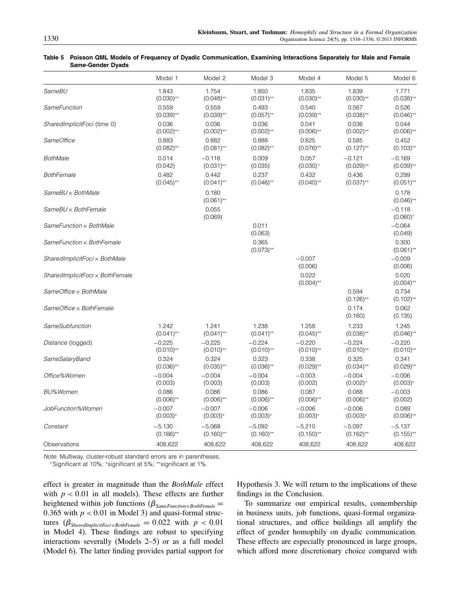| Table 5 Poisson QML Models of Frequency of Dyadic Communication, Examining Interactions Separately for Male and Female |  |
|------------------------------------------------------------------------------------------------------------------------|--|
| <b>Same-Gender Dyads</b>                                                                                               |  |

|                                 | Model 1      | Model 2               | Model 3               | Model 4               | Model 5               | Model 6                |
|---------------------------------|--------------|-----------------------|-----------------------|-----------------------|-----------------------|------------------------|
| <b>SameBU</b>                   | 1.843        | 1.754                 | 1.850                 | 1.835                 | 1.839                 | 1.771                  |
|                                 | $(0.030)$ ** | $(0.048)$ **          | $(0.031)$ **          | $(0.030)$ **          | $(0.030)$ **          | $(0.038)$ **           |
| <b>SameFunction</b>             | 0.559        | 0.559                 | 0.493                 | 0.540                 | 0.567                 | 0.526                  |
|                                 | $(0.039)$ ** | $(0.039)$ **          | $(0.057)$ **          | $(0.039)$ **          | $(0.038)$ **          | $(0.046)$ **           |
| SharedImplicitFoci (time 0)     | 0.036        | 0.036                 | 0.036                 | 0.041                 | 0.036                 | 0.044                  |
|                                 | $(0.002)$ ** | $(0.002)$ **          | $(0.002)$ **          | $(0.006)$ **          | $(0.002)$ **          | $(0.006)$ **           |
| SameOffice                      | 0.883        | 0.882                 | 0.888                 | 0.825                 | 0.585                 | 0.452                  |
|                                 | $(0.082)$ ** | $(0.081)$ **          | $(0.082)$ **          | $(0.076)$ **          | $(0.127)$ **          | $(0.103)$ **           |
| <b>BothMale</b>                 | 0.014        | $-0.116$              | 0.009                 | 0.057                 | $-0.121$              | $-0.169$               |
|                                 | (0.042)      | $(0.031)$ **          | (0.035)               | $(0.030)^+$           | $(0.029)$ **          | $(0.039)$ **           |
| <b>BothFemale</b>               | 0.482        | 0.442                 | 0.237                 | 0.432                 | 0.436                 | 0.299                  |
|                                 | $(0.045)$ ** | $(0.041)$ **          | $(0.046)$ **          | $(0.040)$ **          | $(0.037)$ **          | $(0.051)$ **           |
| SameBU x BothMale               |              | 0.180<br>$(0.061)$ ** |                       |                       |                       | 0.178<br>$(0.046)$ **  |
| SameBU x BothFemale             |              | 0.055<br>(0.069)      |                       |                       |                       | $-0.118$<br>$(0.060)*$ |
| SameFunction x BothMale         |              |                       | 0.011<br>(0.063)      |                       |                       | $-0.064$<br>(0.049)    |
| SameFunction × BothFemale       |              |                       | 0.365<br>$(0.073)$ ** |                       |                       | 0.300<br>$(0.061)$ **  |
| SharedImplicitFoci x BothMale   |              |                       |                       | $-0.007$<br>(0.006)   |                       | $-0.009$<br>(0.006)    |
| SharedImplicitFoci x BothFemale |              |                       |                       | 0.022<br>$(0.004)$ ** |                       | 0.020<br>$(0.004)$ **  |
| SameOffice x BothMale           |              |                       |                       |                       | 0.594<br>$(0.126)$ ** | 0.734<br>$(0.102)$ **  |
| SameOffice x BothFemale         |              |                       |                       |                       | 0.174<br>(0.160)      | 0.062<br>(0.135)       |
| SameSubfunction                 | 1.242        | 1.241                 | 1.238                 | 1.258                 | 1.233                 | 1.245                  |
|                                 | $(0.041)$ ** | $(0.041)$ **          | $(0.041)$ **          | $(0.045)$ **          | $(0.038)$ **          | $(0.046)$ **           |
| Distance (logged)               | $-0.225$     | $-0.225$              | $-0.224$              | $-0.220$              | $-0.224$              | $-0.220$               |
|                                 | $(0.010)$ ** | $(0.010)$ **          | $(0.010)$ **          | $(0.010)$ **          | $(0.010)$ **          | $(0.010)$ **           |
| SameSalaryBand                  | 0.324        | 0.324                 | 0.323                 | 0.338                 | 0.325                 | 0.341                  |
|                                 | $(0.036)$ ** | $(0.035)$ **          | $(0.036)$ **          | $(0.029)$ **          | $(0.034)$ **          | $(0.029)$ **           |
| Office%Women                    | $-0.004$     | $-0.004$              | $-0.004$              | $-0.003$              | $-0.004$              | $-0.006$               |
|                                 | (0.003)      | (0.003)               | (0.003)               | (0.002)               | $(0.002)^+$           | $(0.003)*$             |
| <b>BU%Women</b>                 | 0.086        | 0.086                 | 0.086                 | 0.087                 | 0.088                 | $-0.003$               |
|                                 | $(0.006)$ ** | $(0.006)$ **          | $(0.006)$ **          | $(0.006)$ **          | $(0.006)$ **          | (0.002)                |
| JobFunction%Women               | $-0.007$     | $-0.007$              | $-0.006$              | $-0.006$              | $-0.006$              | 0.089                  |
|                                 | $(0.003)*$   | $(0.003)*$            | $(0.003)*$            | $(0.003)*$            | $(0.003)*$            | $(0.006)$ **           |
| Constant                        | $-5.130$     | $-5.068$              | $-5.092$              | $-5.210$              | $-5.097$              | $-5.137$               |
|                                 | $(0.166)$ ** | $(0.160)$ **          | $(0.160)$ **          | $(0.150)$ **          | $(0.162)$ **          | $(0.155)$ **           |
| Observations                    | 408,622      | 408,622               | 408,622               | 408,622               | 408,622               | 408,622                |

Note. Multiway, cluster-robust standard errors are in parentheses.

<sup>+</sup>Significant at 10%; <sup>∗</sup>significant at 5%; ∗∗significant at 1%.

effect is greater in magnitude than the BothMale effect with  $p < 0.01$  in all models). These effects are further heightened within job functions ( $\beta_{\textit{SameFunction} \times \textit{BothFemale}} =$ 0.365 with  $p < 0.01$  in Model 3) and quasi-formal structures  $(\beta_{\text{SharedImplicitFoci} \times \text{BothFemale}} = 0.022$  with  $p < 0.01$ in Model 4). These findings are robust to specifying interactions severally (Models 2–5) or as a full model (Model 6). The latter finding provides partial support for Hypothesis 3. We will return to the implications of these findings in the Conclusion.

To summarize our empirical results, comembership in business units, job functions, quasi-formal organizational structures, and office buildings all amplify the effect of gender homophily on dyadic communication. These effects are especially pronounced in large groups, which afford more discretionary choice compared with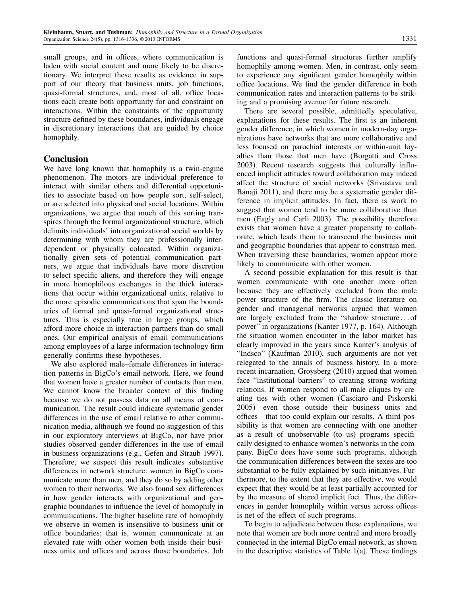small groups, and in offices, where communication is laden with social content and more likely to be discretionary. We interpret these results as evidence in support of our theory that business units, job functions, quasi-formal structures, and, most of all, office locations each create both opportunity for and constraint on interactions. Within the constraints of the opportunity structure defined by these boundaries, individuals engage in discretionary interactions that are guided by choice homophily.

## Conclusion

We have long known that homophily is a twin-engine phenomenon. The motors are individual preference to interact with similar others and differential opportunities to associate based on how people sort, self-select, or are selected into physical and social locations. Within organizations, we argue that much of this sorting transpires through the formal organizational structure, which delimits individuals' intraorganizational social worlds by determining with whom they are professionally interdependent or physically colocated. Within organizationally given sets of potential communication partners, we argue that individuals have more discretion to select specific alters, and therefore they will engage in more homophilous exchanges in the thick interactions that occur within organizational units, relative to the more episodic communications that span the boundaries of formal and quasi-formal organizational structures. This is especially true in large groups, which afford more choice in interaction partners than do small ones. Our empirical analysis of email communications among employees of a large information technology firm generally confirms these hypotheses.

We also explored male–female differences in interaction patterns in BigCo's email network. Here, we found that women have a greater number of contacts than men. We cannot know the broader context of this finding because we do not possess data on all means of communication. The result could indicate systematic gender differences in the use of email relative to other communication media, although we found no suggestion of this in our exploratory interviews at BigCo, nor have prior studies observed gender differences in the use of email in business organizations (e.g., Gefen and Straub 1997). Therefore, we suspect this result indicates substantive differences in network structure: women in BigCo communicate more than men, and they do so by adding other women to their networks. We also found sex differences in how gender interacts with organizational and geographic boundaries to influence the level of homophily in communications. The higher baseline rate of homophily we observe in women is insensitive to business unit or office boundaries; that is, women communicate at an elevated rate with other women both inside their business units and offices and across those boundaries. Job functions and quasi-formal structures further amplify homophily among women. Men, in contrast, only seem to experience any significant gender homophily within office locations. We find the gender difference in both communication rates and interaction patterns to be striking and a promising avenue for future research.

There are several possible, admittedly speculative, explanations for these results. The first is an inherent gender difference, in which women in modern-day organizations have networks that are more collaborative and less focused on parochial interests or within-unit loyalties than those that men have (Borgatti and Cross 2003). Recent research suggests that culturally influenced implicit attitudes toward collaboration may indeed affect the structure of social networks (Srivastava and Banaji 2011), and there may be a systematic gender difference in implicit attitudes. In fact, there is work to suggest that women tend to be more collaborative than men (Eagly and Carli 2003). The possibility therefore exists that women have a greater propensity to collaborate, which leads them to transcend the business unit and geographic boundaries that appear to constrain men. When traversing these boundaries, women appear more likely to communicate with other women.

A second possible explanation for this result is that women communicate with one another more often because they are effectively excluded from the male power structure of the firm. The classic literature on gender and managerial networks argued that women are largely excluded from the "shadow structure...of power" in organizations (Kanter 1977, p. 164). Although the situation women encounter in the labor market has clearly improved in the years since Kanter's analysis of "Indsco" (Kaufman 2010), such arguments are not yet relegated to the annals of business history. In a more recent incarnation, Groysberg (2010) argued that women face "institutional barriers" to creating strong working relations. If women respond to all-male cliques by creating ties with other women (Casciaro and Piskorski 2005)—even those outside their business units and offices—that too could explain our results. A third possibility is that women are connecting with one another as a result of unobservable (to us) programs specifically designed to enhance women's networks in the company. BigCo does have some such programs, although the communication differences between the sexes are too substantial to be fully explained by such initiatives. Furthermore, to the extent that they are effective, we would expect that they would be at least partially accounted for by the measure of shared implicit foci. Thus, the differences in gender homophily within versus across offices is net of the effect of such programs.

To begin to adjudicate between these explanations, we note that women are both more central and more broadly connected in the internal BigCo email network, as shown in the descriptive statistics of Table  $1(a)$ . These findings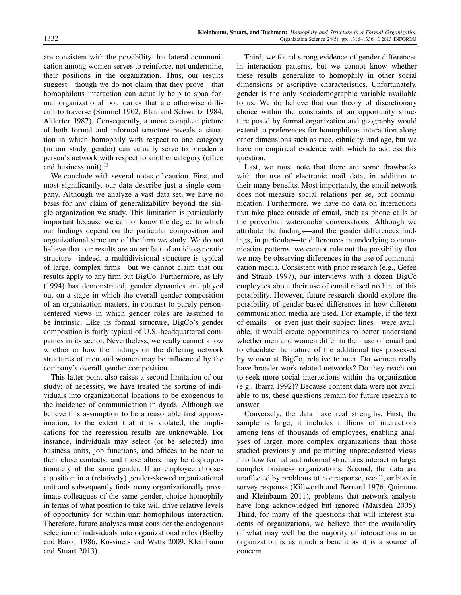are consistent with the possibility that lateral communication among women serves to reinforce, not undermine, their positions in the organization. Thus, our results suggest—though we do not claim that they prove—that homophilous interaction can actually help to span formal organizational boundaries that are otherwise difficult to traverse (Simmel 1902, Blau and Schwartz 1984, Alderfer 1987). Consequently, a more complete picture of both formal and informal structure reveals a situation in which homophily with respect to one category (in our study, gender) can actually serve to broaden a person's network with respect to another category (office and business unit). $^{13}$ 

We conclude with several notes of caution. First, and most significantly, our data describe just a single company. Although we analyze a vast data set, we have no basis for any claim of generalizability beyond the single organization we study. This limitation is particularly important because we cannot know the degree to which our findings depend on the particular composition and organizational structure of the firm we study. We do not believe that our results are an artifact of an idiosyncratic structure—indeed, a multidivisional structure is typical of large, complex firms—but we cannot claim that our results apply to any firm but BigCo. Furthermore, as Ely (1994) has demonstrated, gender dynamics are played out on a stage in which the overall gender composition of an organization matters, in contrast to purely personcentered views in which gender roles are assumed to be intrinsic. Like its formal structure, BigCo's gender composition is fairly typical of U.S.-headquartered companies in its sector. Nevertheless, we really cannot know whether or how the findings on the differing network structures of men and women may be influenced by the company's overall gender composition.

This latter point also raises a second limitation of our study: of necessity, we have treated the sorting of individuals into organizational locations to be exogenous to the incidence of communication in dyads. Although we believe this assumption to be a reasonable first approximation, to the extent that it is violated, the implications for the regression results are unknowable. For instance, individuals may select (or be selected) into business units, job functions, and offices to be near to their close contacts, and these alters may be disproportionately of the same gender. If an employee chooses a position in a (relatively) gender-skewed organizational unit and subsequently finds many organizationally proximate colleagues of the same gender, choice homophily in terms of what position to take will drive relative levels of opportunity for within-unit homophilous interaction. Therefore, future analyses must consider the endogenous selection of individuals into organizational roles (Bielby and Baron 1986, Kossinets and Watts 2009, Kleinbaum and Stuart 2013).

Third, we found strong evidence of gender differences in interaction patterns, but we cannot know whether these results generalize to homophily in other social dimensions or ascriptive characteristics. Unfortunately, gender is the only sociodemographic variable available to us. We do believe that our theory of discretionary choice within the constraints of an opportunity structure posed by formal organization and geography would extend to preferences for homophilous interaction along other dimensions such as race, ethnicity, and age, but we have no empirical evidence with which to address this question.

Last, we must note that there are some drawbacks with the use of electronic mail data, in addition to their many benefits. Most importantly, the email network does not measure social relations per se, but communication. Furthermore, we have no data on interactions that take place outside of email, such as phone calls or the proverbial watercooler conversations. Although we attribute the findings—and the gender differences findings, in particular—to differences in underlying communication patterns, we cannot rule out the possibility that we may be observing differences in the use of communication media. Consistent with prior research (e.g., Gefen and Straub 1997), our interviews with a dozen BigCo employees about their use of email raised no hint of this possibility. However, future research should explore the possibility of gender-based differences in how different communication media are used. For example, if the text of emails—or even just their subject lines—were available, it would create opportunities to better understand whether men and women differ in their use of email and to elucidate the nature of the additional ties possessed by women at BigCo, relative to men. Do women really have broader work-related networks? Do they reach out to seek more social interactions within the organization (e.g., Ibarra 1992)? Because content data were not available to us, these questions remain for future research to answer.

Conversely, the data have real strengths. First, the sample is large; it includes millions of interactions among tens of thousands of employees, enabling analyses of larger, more complex organizations than those studied previously and permitting unprecedented views into how formal and informal structures interact in large, complex business organizations. Second, the data are unaffected by problems of nonresponse, recall, or bias in survey response (Killworth and Bernard 1976, Quintane and Kleinbaum 2011), problems that network analysts have long acknowledged but ignored (Marsden 2005). Third, for many of the questions that will interest students of organizations, we believe that the availability of what may well be the majority of interactions in an organization is as much a benefit as it is a source of concern.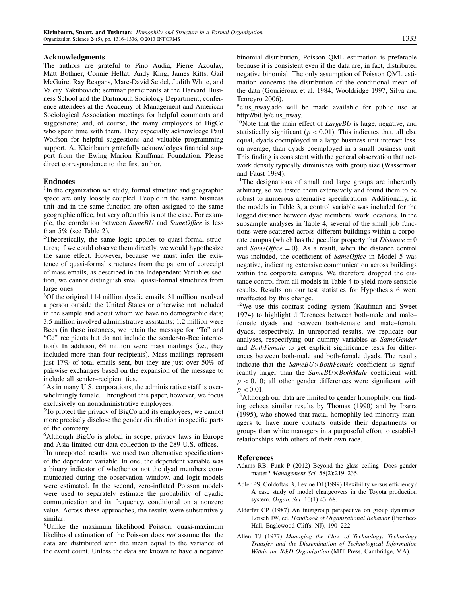#### Acknowledgments

The authors are grateful to Pino Audia, Pierre Azoulay, Matt Bothner, Connie Helfat, Andy King, James Kitts, Gail McGuire, Ray Reagans, Marc-David Seidel, Judith White, and Valery Yakubovich; seminar participants at the Harvard Business School and the Dartmouth Sociology Department; conference attendees at the Academy of Management and American Sociological Association meetings for helpful comments and suggestions; and, of course, the many employees of BigCo who spent time with them. They especially acknowledge Paul Wolfson for helpful suggestions and valuable programming support. A. Kleinbaum gratefully acknowledges financial support from the Ewing Marion Kauffman Foundation. Please direct correspondence to the first author.

#### Endnotes

<sup>1</sup>In the organization we study, formal structure and geographic space are only loosely coupled. People in the same business unit and in the same function are often assigned to the same geographic office, but very often this is not the case. For example, the correlation between SameBU and SameOffice is less than 5% (see Table 2).

<sup>2</sup>Theoretically, the same logic applies to quasi-formal structures; if we could observe them directly, we would hypothesize the same effect. However, because we must infer the existence of quasi-formal structures from the pattern of coreceipt of mass emails, as described in the Independent Variables section, we cannot distinguish small quasi-formal structures from large ones.

<sup>3</sup>Of the original 114 million dyadic emails, 31 million involved a person outside the United States or otherwise not included in the sample and about whom we have no demographic data; 3.5 million involved administrative assistants; 1.2 million were Bccs (in these instances, we retain the message for "To" and "Cc" recipients but do not include the sender-to-Bcc interaction). In addition, 64 million were mass mailings (i.e., they included more than four recipients). Mass mailings represent just 17% of total emails sent, but they are just over 50% of pairwise exchanges based on the expansion of the message to include all sender–recipient ties.

<sup>4</sup>As in many U.S. corporations, the administrative staff is overwhelmingly female. Throughout this paper, however, we focus exclusively on nonadministrative employees.

<sup>5</sup>To protect the privacy of BigCo and its employees, we cannot more precisely disclose the gender distribution in specific parts of the company.

<sup>6</sup>Although BigCo is global in scope, privacy laws in Europe and Asia limited our data collection to the 289 U.S. offices.

 $7$ In unreported results, we used two alternative specifications of the dependent variable. In one, the dependent variable was a binary indicator of whether or not the dyad members communicated during the observation window, and logit models were estimated. In the second, zero-inflated Poisson models were used to separately estimate the probability of dyadic communication and its frequency, conditional on a nonzero value. Across these approaches, the results were substantively similar.

<sup>8</sup>Unlike the maximum likelihood Poisson, quasi-maximum likelihood estimation of the Poisson does not assume that the data are distributed with the mean equal to the variance of the event count. Unless the data are known to have a negative binomial distribution, Poisson QML estimation is preferable because it is consistent even if the data are, in fact, distributed negative binomial. The only assumption of Poisson QML estimation concerns the distribution of the conditional mean of the data (Gouriéroux et al. 1984, Wooldridge 1997, Silva and Tenreyro 2006).

<sup>9</sup>clus\_nway.ado will be made available for public use at http://bit.ly/clus\_nway.

<sup>10</sup>Note that the main effect of  $LargeBU$  is large, negative, and statistically significant ( $p < 0.01$ ). This indicates that, all else equal, dyads coemployed in a large business unit interact less, on average, than dyads coemployed in a small business unit. This finding is consistent with the general observation that network density typically diminishes with group size (Wasserman and Faust 1994).

<sup>11</sup>The designations of small and large groups are inherently arbitrary, so we tested them extensively and found them to be robust to numerous alternative specifications. Additionally, in the models in Table 3, a control variable was included for the logged distance between dyad members' work locations. In the subsample analyses in Table 4, several of the small job functions were scattered across different buildings within a corporate campus (which has the peculiar property that  $Distance = 0$ and  $SameOffice = 0$ ). As a result, when the distance control was included, the coefficient of SameOffice in Model 5 was negative, indicating extensive communication across buildings within the corporate campus. We therefore dropped the distance control from all models in Table 4 to yield more sensible results. Results on our test statistics for Hypothesis 6 were unaffected by this change.

<sup>12</sup>We use this contrast coding system (Kaufman and Sweet 1974) to highlight differences between both-male and male– female dyads and between both-female and male–female dyads, respectively. In unreported results, we replicate our analyses, respecifying our dummy variables as SameGender and BothFemale to get explicit significance tests for differences between both-male and both-female dyads. The results indicate that the  $SameBU \times Both Female$  coefficient is significantly larger than the SameBU×BothMale coefficient with  $p < 0.10$ ; all other gender differences were significant with  $p < 0.01$ .

<sup>13</sup> Although our data are limited to gender homophily, our finding echoes similar results by Thomas (1990) and by Ibarra (1995), who showed that racial homophily led minority managers to have more contacts outside their departments or groups than white managers in a purposeful effort to establish relationships with others of their own race.

#### References

- Adams RB, Funk P (2012) Beyond the glass ceiling: Does gender matter? Management Sci. 58(2):219-235.
- Adler PS, Goldoftas B, Levine DI (1999) Flexibility versus efficiency? A case study of model changeovers in the Toyota production system. Organ. Sci. 10(1):43–68.
- Alderfer CP (1987) An intergroup perspective on group dynamics. Lorsch JW, ed. Handbook of Organizational Behavior (Prentice-Hall, Englewood Cliffs, NJ), 190–222.
- Allen TJ (1977) Managing the Flow of Technology: Technology Transfer and the Dissemination of Technological Information Within the R&D Organization (MIT Press, Cambridge, MA).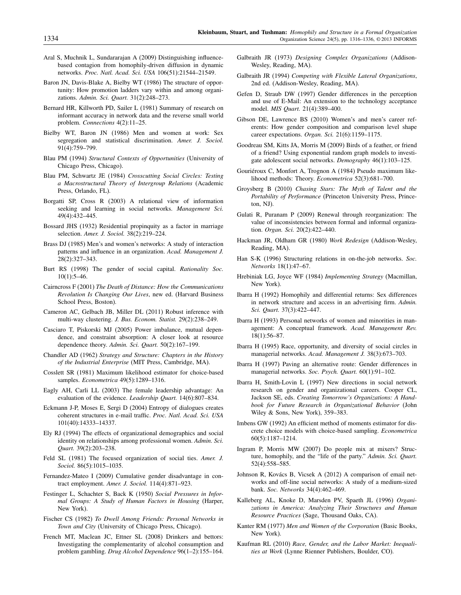- Aral S, Muchnik L, Sundararajan A (2009) Distinguishing influencebased contagion from homophily-driven diffusion in dynamic networks. Proc. Natl. Acad. Sci. USA 106(51):21544–21549.
- Baron JN, Davis-Blake A, Bielby WT (1986) The structure of opportunity: How promotion ladders vary within and among organizations. Admin. Sci. Quart. 31(2):248–273.
- Bernard HR, Killworth PD, Sailer L (1981) Summary of research on informant accuracy in network data and the reverse small world problem. Connections 4(2):11–25.
- Bielby WT, Baron JN (1986) Men and women at work: Sex segregation and statistical discrimination. Amer. J. Sociol. 91(4):759–799.
- Blau PM (1994) Structural Contexts of Opportunities (University of Chicago Press, Chicago).
- Blau PM, Schwartz JE (1984) Crosscutting Social Circles: Testing a Macrostructural Theory of Intergroup Relations (Academic Press, Orlando, FL).
- Borgatti SP, Cross R (2003) A relational view of information seeking and learning in social networks. Management Sci. 49(4):432–445.
- Bossard JHS (1932) Residential propinquity as a factor in marriage selection. Amer. J. Sociol. 38(2):219–224.
- Brass DJ (1985) Men's and women's networks: A study of interaction patterns and influence in an organization. Acad. Management J. 28(2):327–343.
- Burt RS (1998) The gender of social capital. Rationality Soc.  $10(1):5-46.$
- Cairncross F (2001) The Death of Distance: How the Communications Revolution Is Changing Our Lives, new ed. (Harvard Business School Press, Boston).
- Cameron AC, Gelbach JB, Miller DL (2011) Robust inference with multi-way clustering. J. Bus. Econom. Statist. 29(2):238–249.
- Casciaro T, Piskorski MJ (2005) Power imbalance, mutual dependence, and constraint absorption: A closer look at resource dependence theory. Admin. Sci. Quart. 50(2):167-199.
- Chandler AD (1962) Strategy and Structure: Chapters in the History of the Industrial Enterprise (MIT Press, Cambridge, MA).
- Cosslett SR (1981) Maximum likelihood estimator for choice-based samples. Econometrica 49(5):1289–1316.
- Eagly AH, Carli LL (2003) The female leadership advantage: An evaluation of the evidence. *Leadership Quart*. 14(6):807–834.
- Eckmann J-P, Moses E, Sergi D (2004) Entropy of dialogues creates coherent structures in e-mail traffic. Proc. Natl. Acad. Sci. USA 101(40):14333–14337.
- Ely RJ (1994) The effects of organizational demographics and social identity on relationships among professional women. Admin. Sci. Quart. 39(2):203–238.
- Feld SL (1981) The focused organization of social ties. Amer. J. Sociol. 86(5):1015-1035.
- Fernandez-Mateo I (2009) Cumulative gender disadvantage in contract employment. Amer. J. Sociol. 114(4):871–923.
- Festinger L, Schachter S, Back K (1950) Social Pressures in Informal Groups: A Study of Human Factors in Housing (Harper, New York).
- Fischer CS (1982) To Dwell Among Friends: Personal Networks in Town and City (University of Chicago Press, Chicago).
- French MT, Maclean JC, Ettner SL (2008) Drinkers and bettors: Investigating the complementarity of alcohol consumption and problem gambling. Drug Alcohol Dependence 96(1–2):155–164.
- Galbraith JR (1973) Designing Complex Organizations (Addison-Wesley, Reading, MA).
- Galbraith JR (1994) Competing with Flexible Lateral Organizations, 2nd ed. (Addison-Wesley, Reading, MA).
- Gefen D, Straub DW (1997) Gender differences in the perception and use of E-Mail: An extension to the technology acceptance model. MIS Quart. 21(4):389–400.
- Gibson DE, Lawrence BS (2010) Women's and men's career referents: How gender composition and comparison level shape career expectations. Organ. Sci. 21(6):1159-1175.
- Goodreau SM, Kitts JA, Morris M (2009) Birds of a feather, or friend of a friend? Using exponential random graph models to investigate adolescent social networks. Demography 46(1):103–125.
- Gouriéroux C, Monfort A, Trognon A (1984) Pseudo maximum likelihood methods: Theory. Econometrica 52(3):681–700.
- Groysberg B (2010) Chasing Stars: The Myth of Talent and the Portability of Performance (Princeton University Press, Princeton, NJ).
- Gulati R, Puranam P (2009) Renewal through reorganization: The value of inconsistencies between formal and informal organization. Organ. Sci. 20(2):422–440.
- Hackman JR, Oldham GR (1980) Work Redesign (Addison-Wesley, Reading, MA).
- Han S-K (1996) Structuring relations in on-the-job networks. Soc. Networks 18(1):47–67.
- Hrebiniak LG, Joyce WF (1984) Implementing Strategy (Macmillan, New York).
- Ibarra H (1992) Homophily and differential returns: Sex differences in network structure and access in an advertising firm. Admin. Sci. Quart. 37(3):422–447.
- Ibarra H (1993) Personal networks of women and minorities in management: A conceptual framework. Acad. Management Rev. 18(1):56–87.
- Ibarra H (1995) Race, opportunity, and diversity of social circles in managerial networks. Acad. Management J. 38(3):673–703.
- Ibarra H (1997) Paving an alternative route: Gender differences in managerial networks. Soc. Psych. Quart. 60(1):91–102.
- Ibarra H, Smith-Lovin L (1997) New directions in social network research on gender and organizational careers. Cooper CL, Jackson SE, eds. Creating Tomorrow's Organizations: A Handbook for Future Research in Organizational Behavior (John Wiley & Sons, New York), 359–383.
- Imbens GW (1992) An efficient method of moments estimator for discrete choice models with choice-based sampling. Econometrica 60(5):1187–1214.
- Ingram P, Morris MW (2007) Do people mix at mixers? Structure, homophily, and the "life of the party." Admin. Sci. Quart. 52(4):558–585.
- Johnson R, Kovács B, Vicsek A (2012) A comparison of email networks and off-line social networks: A study of a medium-sized bank. Soc. Networks 34(4):462–469.
- Kalleberg AL, Knoke D, Marsden PV, Spaeth JL (1996) Organizations in America: Analyzing Their Structures and Human Resource Practices (Sage, Thousand Oaks, CA).
- Kanter RM (1977) Men and Women of the Corporation (Basic Books, New York).
- Kaufman RL (2010) Race, Gender, and the Labor Market: Inequalities at Work (Lynne Rienner Publishers, Boulder, CO).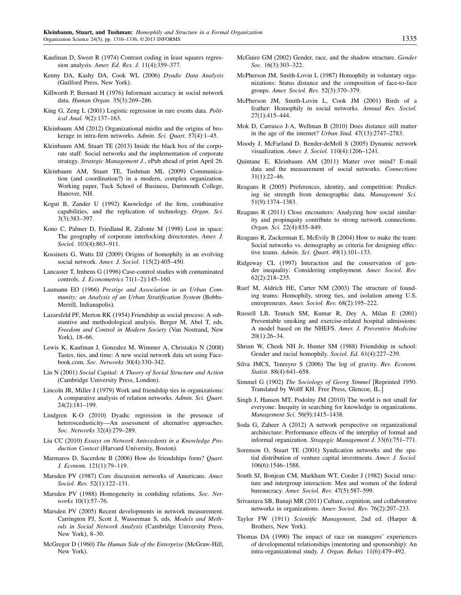- Kaufman D, Sweet R (1974) Contrast coding in least squares regression analysis. Amer. Ed. Res. J. 11(4):359–377.
- Kenny DA, Kashy DA, Cook WL (2006) Dyadic Data Analysis (Guilford Press, New York).
- Killworth P, Bernard H (1976) Informant accuracy in social network data. Human Organ. 35(3):269–286.
- King G, Zeng L (2001) Logistic regression in rare events data. Political Anal. 9(2):137–163.
- Kleinbaum AM (2012) Organizational misfits and the origins of brokerage in intra-firm networks. Admin. Sci. Quart. 57(4):1–45.
- Kleinbaum AM, Stuart TE (2013) Inside the black box of the corporate staff: Social networks and the implementation of corporate strategy. Strategic Management J., ePub ahead of print April 26.
- Kleinbaum AM, Stuart TE, Tushman ML (2009) Communication (and coordination?) in a modern, complex organization. Working paper, Tuck School of Business, Dartmouth College, Hanover, NH.
- Kogut B, Zander U (1992) Knowledge of the firm, combinative capabilities, and the replication of technology. Organ. Sci. 3(3):383–397.
- Kono C, Palmer D, Friedland R, Zafonte M (1998) Lost in space: The geography of corporate interlocking directorates. Amer. J. Sociol. 103(4):863–911.
- Kossinets G, Watts DJ (2009) Origins of homophily in an evolving social network. Amer. J. Sociol. 115(2):405–450.
- Lancaster T, Imbens G (1996) Case-control studies with contaminated controls. J. Econometrics 71(1–2):145–160.
- Laumann EO (1966) Prestige and Association in an Urban Community; an Analysis of an Urban Stratification System (Bobbs-Merrill, Indianapolis).
- Lazarsfeld PF, Merton RK (1954) Friendship as social process: A substantive and methodological analysis. Berger M, Abel T, eds. Freedom and Control in Modern Society (Van Nostrand, New York), 18–66.
- Lewis K, Kaufman J, Gonzalez M, Wimmer A, Christakis N (2008) Tastes, ties, and time: A new social network data set using Facebook.com. Soc. Networks 30(4):330–342.
- Lin N (2001) Social Capital: A Theory of Social Structure and Action (Cambridge University Press, London).
- Lincoln JR, Miller J (1979) Work and friendship ties in organizations: A comparative analysis of relation networks. Admin. Sci. Quart. 24(2):181–199.
- Lindgren K-O (2010) Dyadic regression in the presence of heteroscedasticity—An assessment of alternative approaches. Soc. Networks 32(4):279–289.
- Liu CC (2010) Essays on Network Antecedents in a Knowledge Production Context (Harvard University, Boston).
- Marmaros D, Sacerdote B (2006) How do friendships form? *Ouart*. J. Econom. 121(1):79–119.
- Marsden PV (1987) Core discussion networks of Americans. Amer. Sociol. Rev. 52(1):122–131.
- Marsden PV (1988) Homogeneity in confiding relations. Soc. Networks 10(1):57-76.
- Marsden PV (2005) Recent developments in network measurement. Carrington PJ, Scott J, Wasserman S, eds. Models and Methods in Social Network Analysis (Cambridge University Press, New York), 8–30.
- McGregor D (1960) The Human Side of the Enterprise (McGraw-Hill, New York).
- McGuire GM (2002) Gender, race, and the shadow structure. Gender Soc. 16(3):303-322.
- McPherson JM, Smith-Lovin L (1987) Homophily in voluntary organizations: Status distance and the composition of face-to-face groups. Amer. Sociol. Rev. 52(3):370–379.
- McPherson JM, Smith-Lovin L, Cook JM (2001) Birds of a feather: Homophily in social networks. Annual Rev. Sociol. 27(1):415–444.
- Mok D, Carrasco J-A, Wellman B (2010) Does distance still matter in the age of the internet? Urban Stud. 47(13):2747–2783.
- Moody J, McFarland D, Bender-deMoll S (2005) Dynamic network visualization. Amer. J. Sociol. 110(4):1206–1241.
- Quintane E, Kleinbaum AM (2011) Matter over mind? E-mail data and the measurement of social networks. Connections 31(1):22–46.
- Reagans R (2005) Preferences, identity, and competition: Predicting tie strength from demographic data. Management Sci. 51(9):1374–1383.
- Reagans R (2011) Close encounters: Analyzing how social similarity and propinquity contribute to strong network connections. Organ. Sci. 22(4):835–849.
- Reagans R, Zuckerman E, McEvily B (2004) How to make the team: Social networks vs. demography as criteria for designing effective teams. Admin. Sci. Quart. 49(1):101–133.
- Ridgeway CL (1997) Interaction and the conservation of gender inequality: Considering employment. Amer. Sociol. Rev. 62(2):218–235.
- Ruef M, Aldrich HE, Carter NM (2003) The structure of founding teams: Homophily, strong ties, and isolation among U.S. entrepreneurs. Amer. Sociol. Rev. 68(2):195–222.
- Russell LB, Teutsch SM, Kumar R, Dey A, Milan E (2001) Preventable smoking and exercise-related hospital admissions: A model based on the NHEFS. Amer. J. Preventive Medicine 20(1):26–34.
- Shrum W, Cheek NH Jr, Hunter SM (1988) Friendship in school: Gender and racial homophily. Sociol. Ed. 61(4):227–239.
- Silva JMCS, Tenreyro S (2006) The log of gravity. Rev. Econom. Statist. 88(4):641–658.
- Simmel G (1902) The Sociology of Georg Simmel [Reprinted 1950. Translated by Wolff KH. Free Press, Glencoe, IL.]
- Singh J, Hansen MT, Podolny JM (2010) The world is not small for everyone: Inequity in searching for knowledge in organizations. Management Sci. 56(9):1415–1438.
- Soda G, Zaheer A (2012) A network perspective on organizational architecture: Performance effects of the interplay of formal and informal organization. Stragegic Management J. 33(6):751–771.
- Sorenson O, Stuart TE (2001) Syndication networks and the spatial distribution of venture capital investments. Amer. J. Sociol. 106(6):1546–1588.
- South SJ, Bonjean CM, Markham WT, Corder J (1982) Social structure and intergroup interaction: Men and women of the federal bureaucracy. Amer. Sociol. Rev. 47(5):587–599.
- Srivastava SB, Banaji MR (2011) Culture, cognition, and collaborative networks in organizations. Amer. Sociol. Rev. 76(2):207–233.
- Taylor FW (1911) Scientific Management, 2nd ed. (Harper & Brothers, New York).
- Thomas DA (1990) The impact of race on managers' experiences of developmental relationships (mentoring and sponsorship): An intra-organizational study. J. Organ. Behav. 11(6):479–492.